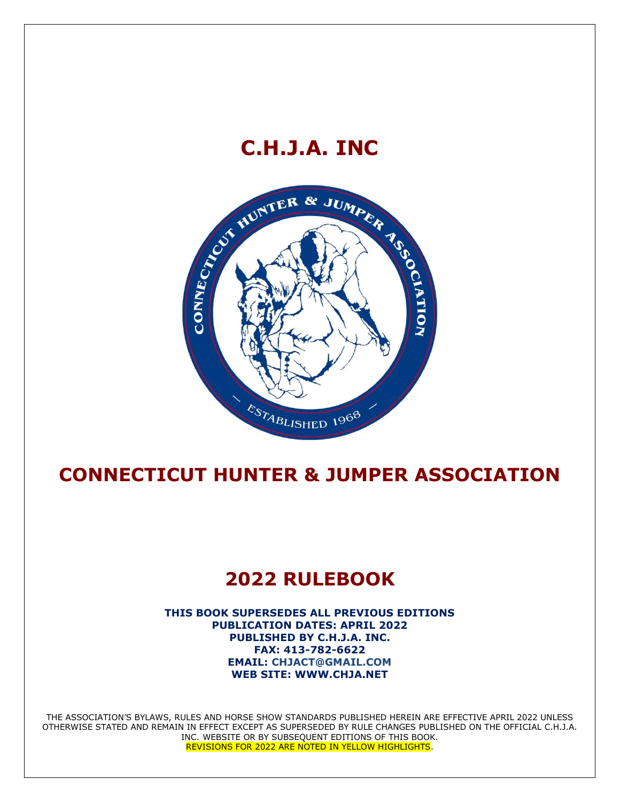# **C.H.J.A. INC**



# **CONNECTICUT HUNTER & JUMPER ASSOCIATION**

# **2022 RULEBOOK**

**THIS BOOK SUPERSEDES ALL PREVIOUS EDITIONS PUBLICATION DATES: APRIL 2022 PUBLISHED BY C.H.J.A. INC. FAX: 413-782-6622 EMAIL: CHJACT@GMAIL.COM WEB SITE: WWW.CHJA.NET**

THE ASSOCIATION'S BYLAWS, RULES AND HORSE SHOW STANDARDS PUBLISHED HEREIN ARE EFFECTIVE APRIL 2022 UNLESS OTHERWISE STATED AND REMAIN IN EFFECT EXCEPT AS SUPERSEDED BY RULE CHANGES PUBLISHED ON THE OFFICIAL C.H.J.A. INC. WEBSITE OR BY SUBSEQUENT EDITIONS OF THIS BOOK. REVISIONS FOR 2022 ARE NOTED IN YELLOW HIGHLIGHTS.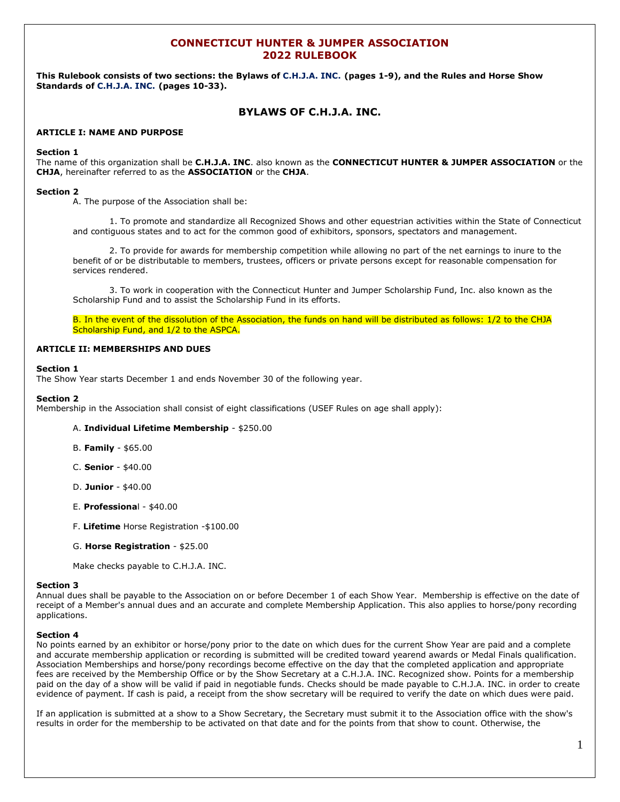# **CONNECTICUT HUNTER & JUMPER ASSOCIATION 2022 RULEBOOK**

**This Rulebook consists of two sections: the Bylaws of C.H.J.A. INC. (pages 1-9), and the Rules and Horse Show Standards of C.H.J.A. INC. (pages 10-33).**

# **BYLAWS OF C.H.J.A. INC.**

# **ARTICLE I: NAME AND PURPOSE**

#### **Section 1**

The name of this organization shall be **C.H.J.A. INC**. also known as the **CONNECTICUT HUNTER & JUMPER ASSOCIATION** or the **CHJA**, hereinafter referred to as the **ASSOCIATION** or the **CHJA**.

#### **Section 2**

A. The purpose of the Association shall be:

1. To promote and standardize all Recognized Shows and other equestrian activities within the State of Connecticut and contiguous states and to act for the common good of exhibitors, sponsors, spectators and management.

2. To provide for awards for membership competition while allowing no part of the net earnings to inure to the benefit of or be distributable to members, trustees, officers or private persons except for reasonable compensation for services rendered.

3. To work in cooperation with the Connecticut Hunter and Jumper Scholarship Fund, Inc. also known as the Scholarship Fund and to assist the Scholarship Fund in its efforts.

B. In the event of the dissolution of the Association, the funds on hand will be distributed as follows: 1/2 to the CHJA Scholarship Fund, and 1/2 to the ASPCA.

# **ARTICLE II: MEMBERSHIPS AND DUES**

#### **Section 1**

The Show Year starts December 1 and ends November 30 of the following year.

#### **Section 2**

Membership in the Association shall consist of eight classifications (USEF Rules on age shall apply):

#### A. **Individual Lifetime Membership** - \$250.00

- B. **Family** \$65.00
- C. **Senior** \$40.00
- D. **Junior** \$40.00
- E. **Professiona**l \$40.00
- F. **Lifetime** Horse Registration -\$100.00
- G. **Horse Registration** \$25.00

Make checks payable to C.H.J.A. INC.

#### **Section 3**

Annual dues shall be payable to the Association on or before December 1 of each Show Year. Membership is effective on the date of receipt of a Member's annual dues and an accurate and complete Membership Application. This also applies to horse/pony recording applications.

#### **Section 4**

No points earned by an exhibitor or horse/pony prior to the date on which dues for the current Show Year are paid and a complete and accurate membership application or recording is submitted will be credited toward yearend awards or Medal Finals qualification. Association Memberships and horse/pony recordings become effective on the day that the completed application and appropriate fees are received by the Membership Office or by the Show Secretary at a C.H.J.A. INC. Recognized show. Points for a membership paid on the day of a show will be valid if paid in negotiable funds. Checks should be made payable to C.H.J.A. INC. in order to create evidence of payment. If cash is paid, a receipt from the show secretary will be required to verify the date on which dues were paid.

If an application is submitted at a show to a Show Secretary, the Secretary must submit it to the Association office with the show's results in order for the membership to be activated on that date and for the points from that show to count. Otherwise, the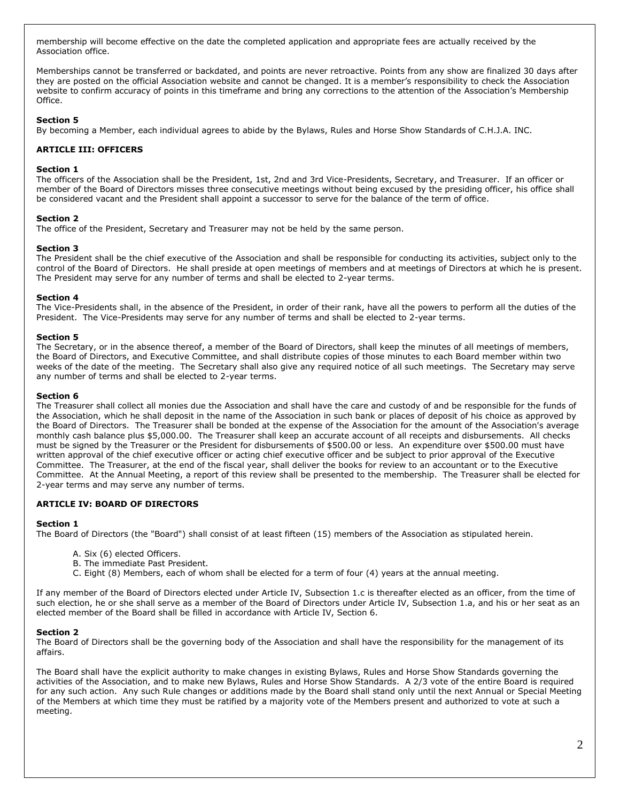membership will become effective on the date the completed application and appropriate fees are actually received by the Association office.

Memberships cannot be transferred or backdated, and points are never retroactive. Points from any show are finalized 30 days after they are posted on the official Association website and cannot be changed. It is a member's responsibility to check the Association website to confirm accuracy of points in this timeframe and bring any corrections to the attention of the Association's Membership Office.

#### **Section 5**

By becoming a Member, each individual agrees to abide by the Bylaws, Rules and Horse Show Standards of C.H.J.A. INC.

# **ARTICLE III: OFFICERS**

#### **Section 1**

The officers of the Association shall be the President, 1st, 2nd and 3rd Vice-Presidents, Secretary, and Treasurer. If an officer or member of the Board of Directors misses three consecutive meetings without being excused by the presiding officer, his office shall be considered vacant and the President shall appoint a successor to serve for the balance of the term of office.

#### **Section 2**

The office of the President, Secretary and Treasurer may not be held by the same person.

# **Section 3**

The President shall be the chief executive of the Association and shall be responsible for conducting its activities, subject only to the control of the Board of Directors. He shall preside at open meetings of members and at meetings of Directors at which he is present. The President may serve for any number of terms and shall be elected to 2-year terms.

# **Section 4**

The Vice-Presidents shall, in the absence of the President, in order of their rank, have all the powers to perform all the duties of the President. The Vice-Presidents may serve for any number of terms and shall be elected to 2-year terms.

#### **Section 5**

The Secretary, or in the absence thereof, a member of the Board of Directors, shall keep the minutes of all meetings of members, the Board of Directors, and Executive Committee, and shall distribute copies of those minutes to each Board member within two weeks of the date of the meeting. The Secretary shall also give any required notice of all such meetings. The Secretary may serve any number of terms and shall be elected to 2-year terms.

#### **Section 6**

The Treasurer shall collect all monies due the Association and shall have the care and custody of and be responsible for the funds of the Association, which he shall deposit in the name of the Association in such bank or places of deposit of his choice as approved by the Board of Directors. The Treasurer shall be bonded at the expense of the Association for the amount of the Association's average monthly cash balance plus \$5,000.00. The Treasurer shall keep an accurate account of all receipts and disbursements. All checks must be signed by the Treasurer or the President for disbursements of \$500.00 or less. An expenditure over \$500.00 must have written approval of the chief executive officer or acting chief executive officer and be subject to prior approval of the Executive Committee. The Treasurer, at the end of the fiscal year, shall deliver the books for review to an accountant or to the Executive Committee. At the Annual Meeting, a report of this review shall be presented to the membership. The Treasurer shall be elected for 2-year terms and may serve any number of terms.

# **ARTICLE IV: BOARD OF DIRECTORS**

#### **Section 1**

The Board of Directors (the "Board") shall consist of at least fifteen (15) members of the Association as stipulated herein.

- A. Six (6) elected Officers.
- B. The immediate Past President.
- C. Eight (8) Members, each of whom shall be elected for a term of four (4) years at the annual meeting.

If any member of the Board of Directors elected under Article IV, Subsection 1.c is thereafter elected as an officer, from the time of such election, he or she shall serve as a member of the Board of Directors under Article IV, Subsection 1.a, and his or her seat as an elected member of the Board shall be filled in accordance with Article IV, Section 6.

#### **Section 2**

The Board of Directors shall be the governing body of the Association and shall have the responsibility for the management of its affairs.

The Board shall have the explicit authority to make changes in existing Bylaws, Rules and Horse Show Standards governing the activities of the Association, and to make new Bylaws, Rules and Horse Show Standards. A 2/3 vote of the entire Board is required for any such action. Any such Rule changes or additions made by the Board shall stand only until the next Annual or Special Meeting of the Members at which time they must be ratified by a majority vote of the Members present and authorized to vote at such a meeting.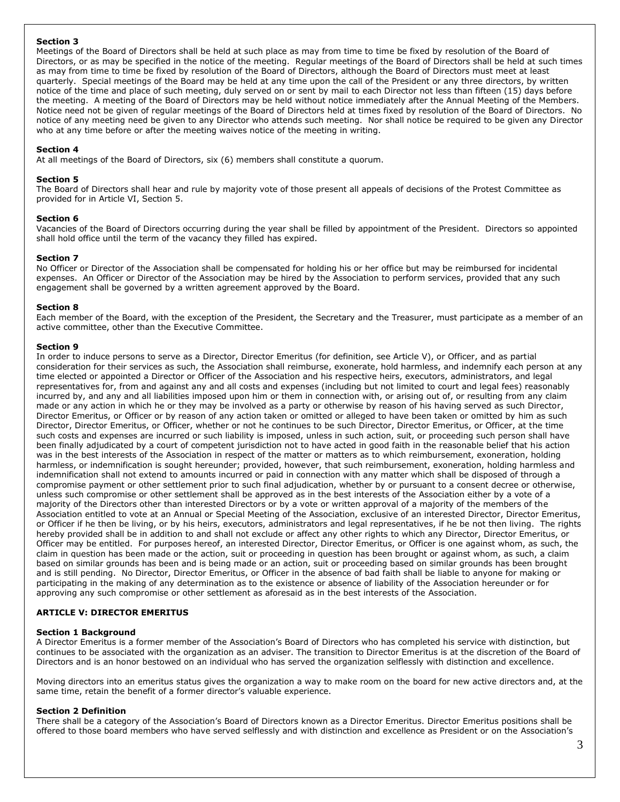# **Section 3**

Meetings of the Board of Directors shall be held at such place as may from time to time be fixed by resolution of the Board of Directors, or as may be specified in the notice of the meeting. Regular meetings of the Board of Directors shall be held at such times as may from time to time be fixed by resolution of the Board of Directors, although the Board of Directors must meet at least quarterly. Special meetings of the Board may be held at any time upon the call of the President or any three directors, by written notice of the time and place of such meeting, duly served on or sent by mail to each Director not less than fifteen (15) days before the meeting. A meeting of the Board of Directors may be held without notice immediately after the Annual Meeting of the Members. Notice need not be given of regular meetings of the Board of Directors held at times fixed by resolution of the Board of Directors. No notice of any meeting need be given to any Director who attends such meeting. Nor shall notice be required to be given any Director who at any time before or after the meeting waives notice of the meeting in writing.

# **Section 4**

At all meetings of the Board of Directors, six (6) members shall constitute a quorum.

# **Section 5**

The Board of Directors shall hear and rule by majority vote of those present all appeals of decisions of the Protest Committee as provided for in Article VI, Section 5.

#### **Section 6**

Vacancies of the Board of Directors occurring during the year shall be filled by appointment of the President. Directors so appointed shall hold office until the term of the vacancy they filled has expired.

# **Section 7**

No Officer or Director of the Association shall be compensated for holding his or her office but may be reimbursed for incidental expenses. An Officer or Director of the Association may be hired by the Association to perform services, provided that any such engagement shall be governed by a written agreement approved by the Board.

# **Section 8**

Each member of the Board, with the exception of the President, the Secretary and the Treasurer, must participate as a member of an active committee, other than the Executive Committee.

# **Section 9**

In order to induce persons to serve as a Director, Director Emeritus (for definition, see Article V), or Officer, and as partial consideration for their services as such, the Association shall reimburse, exonerate, hold harmless, and indemnify each person at any time elected or appointed a Director or Officer of the Association and his respective heirs, executors, administrators, and legal representatives for, from and against any and all costs and expenses (including but not limited to court and legal fees) reasonably incurred by, and any and all liabilities imposed upon him or them in connection with, or arising out of, or resulting from any claim made or any action in which he or they may be involved as a party or otherwise by reason of his having served as such Director, Director Emeritus, or Officer or by reason of any action taken or omitted or alleged to have been taken or omitted by him as such Director, Director Emeritus, or Officer, whether or not he continues to be such Director, Director Emeritus, or Officer, at the time such costs and expenses are incurred or such liability is imposed, unless in such action, suit, or proceeding such person shall have been finally adjudicated by a court of competent jurisdiction not to have acted in good faith in the reasonable belief that his action was in the best interests of the Association in respect of the matter or matters as to which reimbursement, exoneration, holding harmless, or indemnification is sought hereunder; provided, however, that such reimbursement, exoneration, holding harmless and indemnification shall not extend to amounts incurred or paid in connection with any matter which shall be disposed of through a compromise payment or other settlement prior to such final adjudication, whether by or pursuant to a consent decree or otherwise, unless such compromise or other settlement shall be approved as in the best interests of the Association either by a vote of a majority of the Directors other than interested Directors or by a vote or written approval of a majority of the members of the Association entitled to vote at an Annual or Special Meeting of the Association, exclusive of an interested Director, Director Emeritus, or Officer if he then be living, or by his heirs, executors, administrators and legal representatives, if he be not then living. The rights hereby provided shall be in addition to and shall not exclude or affect any other rights to which any Director, Director Emeritus, or Officer may be entitled. For purposes hereof, an interested Director, Director Emeritus, or Officer is one against whom, as such, the claim in question has been made or the action, suit or proceeding in question has been brought or against whom, as such, a claim based on similar grounds has been and is being made or an action, suit or proceeding based on similar grounds has been brought and is still pending. No Director, Director Emeritus, or Officer in the absence of bad faith shall be liable to anyone for making or participating in the making of any determination as to the existence or absence of liability of the Association hereunder or for approving any such compromise or other settlement as aforesaid as in the best interests of the Association.

# **ARTICLE V: DIRECTOR EMERITUS**

#### **Section 1 Background**

A Director Emeritus is a former member of the Association's Board of Directors who has completed his service with distinction, but continues to be associated with the organization as an adviser. The transition to Director Emeritus is at the discretion of the Board of Directors and is an honor bestowed on an individual who has served the organization selflessly with distinction and excellence.

Moving directors into an emeritus status gives the organization a way to make room on the board for new active directors and, at the same time, retain the benefit of a former director's valuable experience.

#### **Section 2 Definition**

There shall be a category of the Association's Board of Directors known as a Director Emeritus. Director Emeritus positions shall be offered to those board members who have served selflessly and with distinction and excellence as President or on the Association's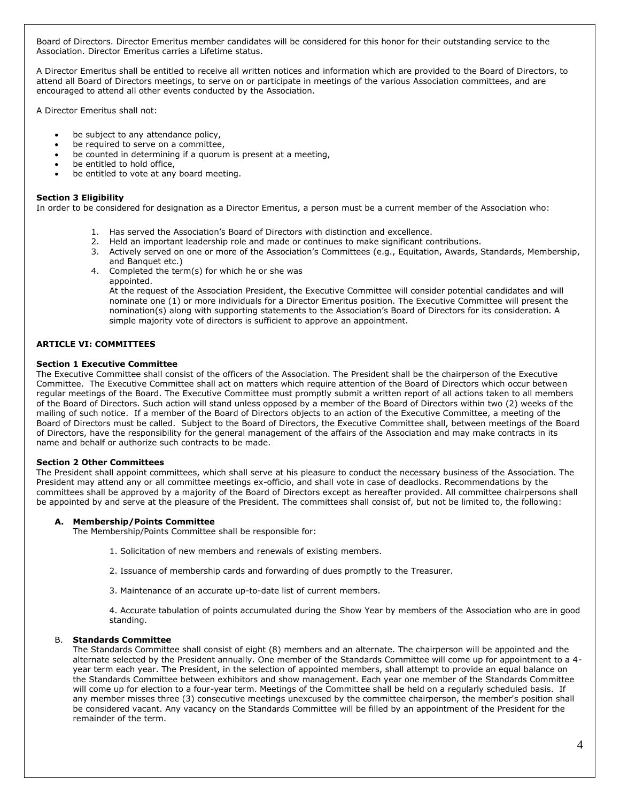Board of Directors. Director Emeritus member candidates will be considered for this honor for their outstanding service to the Association. Director Emeritus carries a Lifetime status.

A Director Emeritus shall be entitled to receive all written notices and information which are provided to the Board of Directors, to attend all Board of Directors meetings, to serve on or participate in meetings of the various Association committees, and are encouraged to attend all other events conducted by the Association.

A Director Emeritus shall not:

- be subject to any attendance policy,
- be required to serve on a committee,
- be counted in determining if a quorum is present at a meeting,
- be entitled to hold office.
- be entitled to vote at any board meeting.

# **Section 3 Eligibility**

In order to be considered for designation as a Director Emeritus, a person must be a current member of the Association who:

- 1. Has served the Association's Board of Directors with distinction and excellence.
- 2. Held an important leadership role and made or continues to make significant contributions.
- 3. Actively served on one or more of the Association's Committees (e.g., Equitation, Awards, Standards, Membership, and Banquet etc.)
- 4. Completed the term(s) for which he or she was appointed.

At the request of the Association President, the Executive Committee will consider potential candidates and will nominate one (1) or more individuals for a Director Emeritus position. The Executive Committee will present the nomination(s) along with supporting statements to the Association's Board of Directors for its consideration. A simple majority vote of directors is sufficient to approve an appointment.

# **ARTICLE VI: COMMITTEES**

# **Section 1 Executive Committee**

The Executive Committee shall consist of the officers of the Association. The President shall be the chairperson of the Executive Committee. The Executive Committee shall act on matters which require attention of the Board of Directors which occur between regular meetings of the Board. The Executive Committee must promptly submit a written report of all actions taken to all members of the Board of Directors. Such action will stand unless opposed by a member of the Board of Directors within two (2) weeks of the mailing of such notice. If a member of the Board of Directors objects to an action of the Executive Committee, a meeting of the Board of Directors must be called. Subject to the Board of Directors, the Executive Committee shall, between meetings of the Board of Directors, have the responsibility for the general management of the affairs of the Association and may make contracts in its name and behalf or authorize such contracts to be made.

# **Section 2 Other Committees**

The President shall appoint committees, which shall serve at his pleasure to conduct the necessary business of the Association. The President may attend any or all committee meetings ex-officio, and shall vote in case of deadlocks. Recommendations by the committees shall be approved by a majority of the Board of Directors except as hereafter provided. All committee chairpersons shall be appointed by and serve at the pleasure of the President. The committees shall consist of, but not be limited to, the following:

# **A. Membership/Points Committee**

The Membership/Points Committee shall be responsible for:

- 1. Solicitation of new members and renewals of existing members.
- 2. Issuance of membership cards and forwarding of dues promptly to the Treasurer.
- 3. Maintenance of an accurate up-to-date list of current members.

4. Accurate tabulation of points accumulated during the Show Year by members of the Association who are in good standing.

# B. **Standards Committee**

The Standards Committee shall consist of eight (8) members and an alternate. The chairperson will be appointed and the alternate selected by the President annually. One member of the Standards Committee will come up for appointment to a 4 year term each year. The President, in the selection of appointed members, shall attempt to provide an equal balance on the Standards Committee between exhibitors and show management. Each year one member of the Standards Committee will come up for election to a four-year term. Meetings of the Committee shall be held on a regularly scheduled basis. If any member misses three (3) consecutive meetings unexcused by the committee chairperson, the member's position shall be considered vacant. Any vacancy on the Standards Committee will be filled by an appointment of the President for the remainder of the term.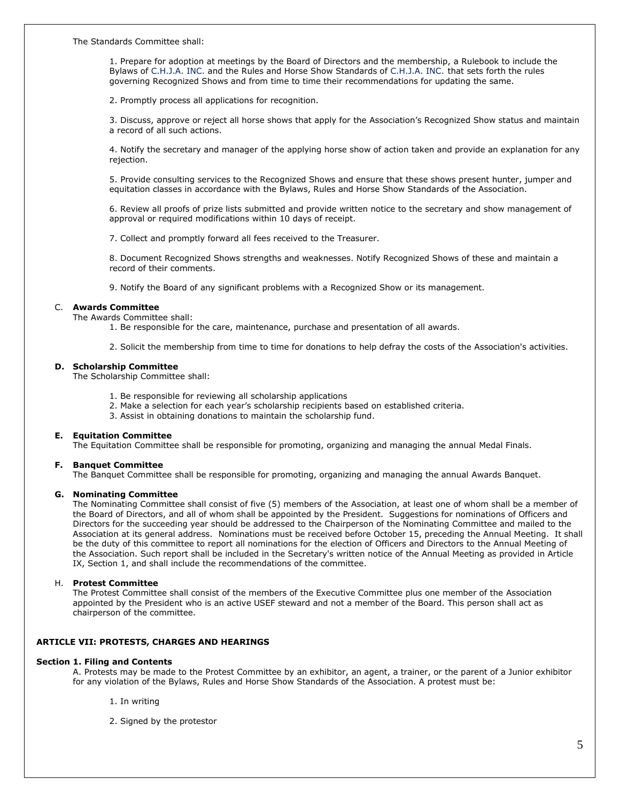The Standards Committee shall:

1. Prepare for adoption at meetings by the Board of Directors and the membership, a Rulebook to include the Bylaws of C.H.J.A. INC. and the Rules and Horse Show Standards of C.H.J.A. INC. that sets forth the rules governing Recognized Shows and from time to time their recommendations for updating the same.

2. Promptly process all applications for recognition.

3. Discuss, approve or reject all horse shows that apply for the Association's Recognized Show status and maintain a record of all such actions.

4. Notify the secretary and manager of the applying horse show of action taken and provide an explanation for any rejection.

5. Provide consulting services to the Recognized Shows and ensure that these shows present hunter, jumper and equitation classes in accordance with the Bylaws, Rules and Horse Show Standards of the Association.

6. Review all proofs of prize lists submitted and provide written notice to the secretary and show management of approval or required modifications within 10 days of receipt.

7. Collect and promptly forward all fees received to the Treasurer.

8. Document Recognized Shows strengths and weaknesses. Notify Recognized Shows of these and maintain a record of their comments.

9. Notify the Board of any significant problems with a Recognized Show or its management.

# C. **Awards Committee**

The Awards Committee shall:

1. Be responsible for the care, maintenance, purchase and presentation of all awards.

2. Solicit the membership from time to time for donations to help defray the costs of the Association's activities.

#### **D. Scholarship Committee**

The Scholarship Committee shall:

- 1. Be responsible for reviewing all scholarship applications
- 2. Make a selection for each year's scholarship recipients based on established criteria.
- 3. Assist in obtaining donations to maintain the scholarship fund.

#### **E. Equitation Committee**

The Equitation Committee shall be responsible for promoting, organizing and managing the annual Medal Finals.

# **F. Banquet Committee**

The Banquet Committee shall be responsible for promoting, organizing and managing the annual Awards Banquet.

#### **G. Nominating Committee**

The Nominating Committee shall consist of five (5) members of the Association, at least one of whom shall be a member of the Board of Directors, and all of whom shall be appointed by the President. Suggestions for nominations of Officers and Directors for the succeeding year should be addressed to the Chairperson of the Nominating Committee and mailed to the Association at its general address. Nominations must be received before October 15, preceding the Annual Meeting. It shall be the duty of this committee to report all nominations for the election of Officers and Directors to the Annual Meeting of the Association. Such report shall be included in the Secretary's written notice of the Annual Meeting as provided in Article IX, Section 1, and shall include the recommendations of the committee.

# H. **Protest Committee**

The Protest Committee shall consist of the members of the Executive Committee plus one member of the Association appointed by the President who is an active USEF steward and not a member of the Board. This person shall act as chairperson of the committee.

#### **ARTICLE VII: PROTESTS, CHARGES AND HEARINGS**

#### **Section 1. Filing and Contents**

A. Protests may be made to the Protest Committee by an exhibitor, an agent, a trainer, or the parent of a Junior exhibitor for any violation of the Bylaws, Rules and Horse Show Standards of the Association. A protest must be:

- 1. In writing
- 2. Signed by the protestor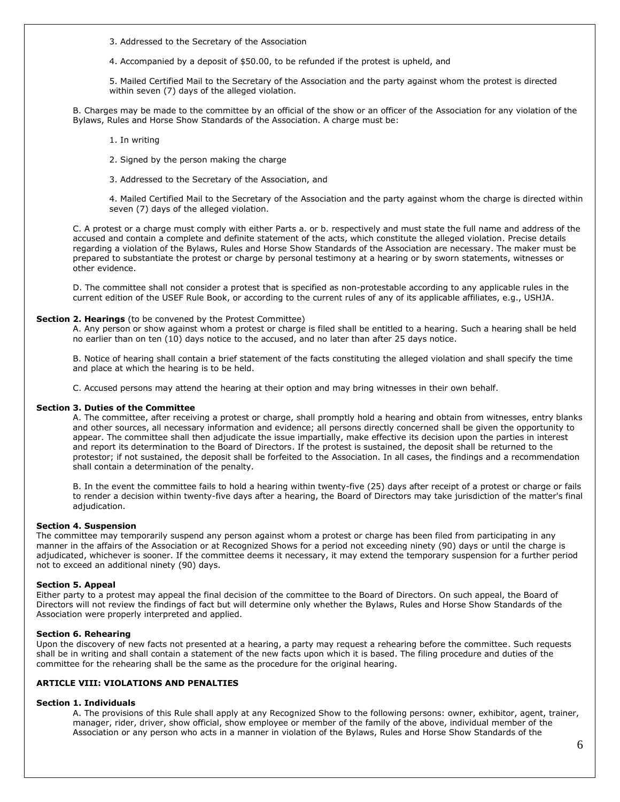3. Addressed to the Secretary of the Association

4. Accompanied by a deposit of \$50.00, to be refunded if the protest is upheld, and

5. Mailed Certified Mail to the Secretary of the Association and the party against whom the protest is directed within seven (7) days of the alleged violation.

B. Charges may be made to the committee by an official of the show or an officer of the Association for any violation of the Bylaws, Rules and Horse Show Standards of the Association. A charge must be:

- 1. In writing
- 2. Signed by the person making the charge
- 3. Addressed to the Secretary of the Association, and

4. Mailed Certified Mail to the Secretary of the Association and the party against whom the charge is directed within seven (7) days of the alleged violation.

C. A protest or a charge must comply with either Parts a. or b. respectively and must state the full name and address of the accused and contain a complete and definite statement of the acts, which constitute the alleged violation. Precise details regarding a violation of the Bylaws, Rules and Horse Show Standards of the Association are necessary. The maker must be prepared to substantiate the protest or charge by personal testimony at a hearing or by sworn statements, witnesses or other evidence.

D. The committee shall not consider a protest that is specified as non-protestable according to any applicable rules in the current edition of the USEF Rule Book, or according to the current rules of any of its applicable affiliates, e.g., USHJA.

#### **Section 2. Hearings** (to be convened by the Protest Committee)

A. Any person or show against whom a protest or charge is filed shall be entitled to a hearing. Such a hearing shall be held no earlier than on ten (10) days notice to the accused, and no later than after 25 days notice.

B. Notice of hearing shall contain a brief statement of the facts constituting the alleged violation and shall specify the time and place at which the hearing is to be held.

C. Accused persons may attend the hearing at their option and may bring witnesses in their own behalf.

#### **Section 3. Duties of the Committee**

A. The committee, after receiving a protest or charge, shall promptly hold a hearing and obtain from witnesses, entry blanks and other sources, all necessary information and evidence; all persons directly concerned shall be given the opportunity to appear. The committee shall then adjudicate the issue impartially, make effective its decision upon the parties in interest and report its determination to the Board of Directors. If the protest is sustained, the deposit shall be returned to the protestor; if not sustained, the deposit shall be forfeited to the Association. In all cases, the findings and a recommendation shall contain a determination of the penalty.

B. In the event the committee fails to hold a hearing within twenty-five (25) days after receipt of a protest or charge or fails to render a decision within twenty-five days after a hearing, the Board of Directors may take jurisdiction of the matter's final adjudication.

#### **Section 4. Suspension**

The committee may temporarily suspend any person against whom a protest or charge has been filed from participating in any manner in the affairs of the Association or at Recognized Shows for a period not exceeding ninety (90) days or until the charge is adjudicated, whichever is sooner. If the committee deems it necessary, it may extend the temporary suspension for a further period not to exceed an additional ninety (90) days.

#### **Section 5. Appeal**

Either party to a protest may appeal the final decision of the committee to the Board of Directors. On such appeal, the Board of Directors will not review the findings of fact but will determine only whether the Bylaws, Rules and Horse Show Standards of the Association were properly interpreted and applied.

#### **Section 6. Rehearing**

Upon the discovery of new facts not presented at a hearing, a party may request a rehearing before the committee. Such requests shall be in writing and shall contain a statement of the new facts upon which it is based. The filing procedure and duties of the committee for the rehearing shall be the same as the procedure for the original hearing.

# **ARTICLE VIII: VIOLATIONS AND PENALTIES**

#### **Section 1. Individuals**

A. The provisions of this Rule shall apply at any Recognized Show to the following persons: owner, exhibitor, agent, trainer, manager, rider, driver, show official, show employee or member of the family of the above, individual member of the Association or any person who acts in a manner in violation of the Bylaws, Rules and Horse Show Standards of the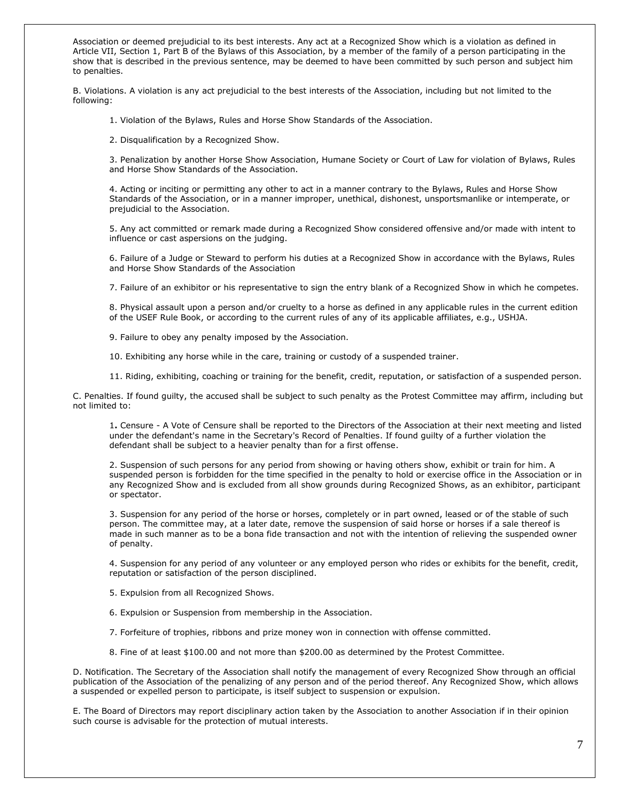Association or deemed prejudicial to its best interests. Any act at a Recognized Show which is a violation as defined in Article VII, Section 1, Part B of the Bylaws of this Association, by a member of the family of a person participating in the show that is described in the previous sentence, may be deemed to have been committed by such person and subject him to penalties.

B. Violations. A violation is any act prejudicial to the best interests of the Association, including but not limited to the following:

1. Violation of the Bylaws, Rules and Horse Show Standards of the Association.

2. Disqualification by a Recognized Show.

3. Penalization by another Horse Show Association, Humane Society or Court of Law for violation of Bylaws, Rules and Horse Show Standards of the Association.

4. Acting or inciting or permitting any other to act in a manner contrary to the Bylaws, Rules and Horse Show Standards of the Association, or in a manner improper, unethical, dishonest, unsportsmanlike or intemperate, or prejudicial to the Association.

5. Any act committed or remark made during a Recognized Show considered offensive and/or made with intent to influence or cast aspersions on the judging.

6. Failure of a Judge or Steward to perform his duties at a Recognized Show in accordance with the Bylaws, Rules and Horse Show Standards of the Association

7. Failure of an exhibitor or his representative to sign the entry blank of a Recognized Show in which he competes.

8. Physical assault upon a person and/or cruelty to a horse as defined in any applicable rules in the current edition of the USEF Rule Book, or according to the current rules of any of its applicable affiliates, e.g., USHJA.

9. Failure to obey any penalty imposed by the Association.

10. Exhibiting any horse while in the care, training or custody of a suspended trainer.

11. Riding, exhibiting, coaching or training for the benefit, credit, reputation, or satisfaction of a suspended person.

C. Penalties. If found guilty, the accused shall be subject to such penalty as the Protest Committee may affirm, including but not limited to:

1**.** Censure - A Vote of Censure shall be reported to the Directors of the Association at their next meeting and listed under the defendant's name in the Secretary's Record of Penalties. If found guilty of a further violation the defendant shall be subject to a heavier penalty than for a first offense.

2. Suspension of such persons for any period from showing or having others show, exhibit or train for him. A suspended person is forbidden for the time specified in the penalty to hold or exercise office in the Association or in any Recognized Show and is excluded from all show grounds during Recognized Shows, as an exhibitor, participant or spectator.

3. Suspension for any period of the horse or horses, completely or in part owned, leased or of the stable of such person. The committee may, at a later date, remove the suspension of said horse or horses if a sale thereof is made in such manner as to be a bona fide transaction and not with the intention of relieving the suspended owner of penalty.

4. Suspension for any period of any volunteer or any employed person who rides or exhibits for the benefit, credit, reputation or satisfaction of the person disciplined.

5. Expulsion from all Recognized Shows.

6. Expulsion or Suspension from membership in the Association.

7. Forfeiture of trophies, ribbons and prize money won in connection with offense committed.

8. Fine of at least \$100.00 and not more than \$200.00 as determined by the Protest Committee.

D. Notification. The Secretary of the Association shall notify the management of every Recognized Show through an official publication of the Association of the penalizing of any person and of the period thereof. Any Recognized Show, which allows a suspended or expelled person to participate, is itself subject to suspension or expulsion.

E. The Board of Directors may report disciplinary action taken by the Association to another Association if in their opinion such course is advisable for the protection of mutual interests.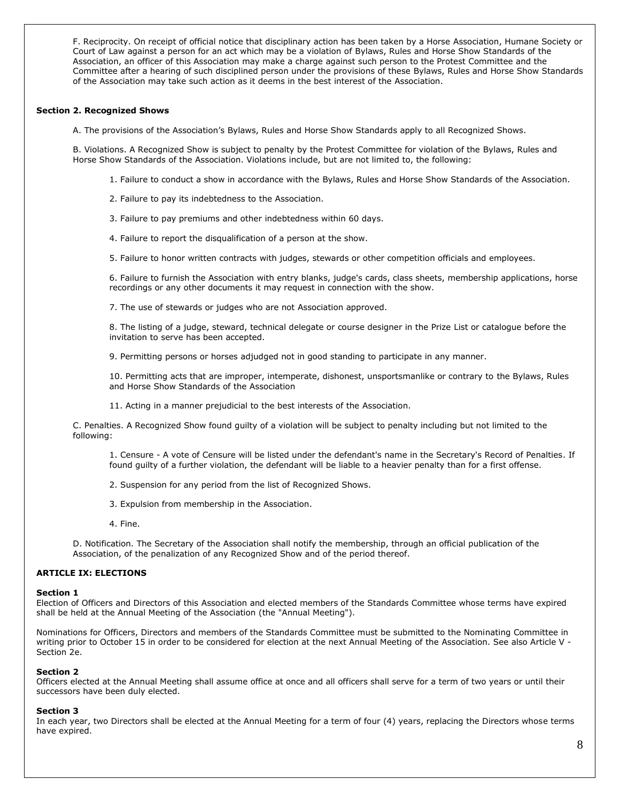F. Reciprocity. On receipt of official notice that disciplinary action has been taken by a Horse Association, Humane Society or Court of Law against a person for an act which may be a violation of Bylaws, Rules and Horse Show Standards of the Association, an officer of this Association may make a charge against such person to the Protest Committee and the Committee after a hearing of such disciplined person under the provisions of these Bylaws, Rules and Horse Show Standards of the Association may take such action as it deems in the best interest of the Association.

# **Section 2. Recognized Shows**

A. The provisions of the Association's Bylaws, Rules and Horse Show Standards apply to all Recognized Shows.

B. Violations. A Recognized Show is subject to penalty by the Protest Committee for violation of the Bylaws, Rules and Horse Show Standards of the Association. Violations include, but are not limited to, the following:

- 1. Failure to conduct a show in accordance with the Bylaws, Rules and Horse Show Standards of the Association.
- 2. Failure to pay its indebtedness to the Association.
- 3. Failure to pay premiums and other indebtedness within 60 days.
- 4. Failure to report the disqualification of a person at the show.
- 5. Failure to honor written contracts with judges, stewards or other competition officials and employees.

6. Failure to furnish the Association with entry blanks, judge's cards, class sheets, membership applications, horse recordings or any other documents it may request in connection with the show.

7. The use of stewards or judges who are not Association approved.

8. The listing of a judge, steward, technical delegate or course designer in the Prize List or catalogue before the invitation to serve has been accepted.

9. Permitting persons or horses adjudged not in good standing to participate in any manner.

10. Permitting acts that are improper, intemperate, dishonest, unsportsmanlike or contrary to the Bylaws, Rules and Horse Show Standards of the Association

11. Acting in a manner prejudicial to the best interests of the Association.

C. Penalties. A Recognized Show found guilty of a violation will be subject to penalty including but not limited to the following:

1. Censure - A vote of Censure will be listed under the defendant's name in the Secretary's Record of Penalties. If found guilty of a further violation, the defendant will be liable to a heavier penalty than for a first offense.

- 2. Suspension for any period from the list of Recognized Shows.
- 3. Expulsion from membership in the Association.
- 4. Fine.

D. Notification. The Secretary of the Association shall notify the membership, through an official publication of the Association, of the penalization of any Recognized Show and of the period thereof.

# **ARTICLE IX: ELECTIONS**

#### **Section 1**

Election of Officers and Directors of this Association and elected members of the Standards Committee whose terms have expired shall be held at the Annual Meeting of the Association (the "Annual Meeting").

Nominations for Officers, Directors and members of the Standards Committee must be submitted to the Nominating Committee in writing prior to October 15 in order to be considered for election at the next Annual Meeting of the Association. See also Article V - Section 2e.

#### **Section 2**

Officers elected at the Annual Meeting shall assume office at once and all officers shall serve for a term of two years or until their successors have been duly elected.

#### **Section 3**

In each year, two Directors shall be elected at the Annual Meeting for a term of four (4) years, replacing the Directors whose terms have expired.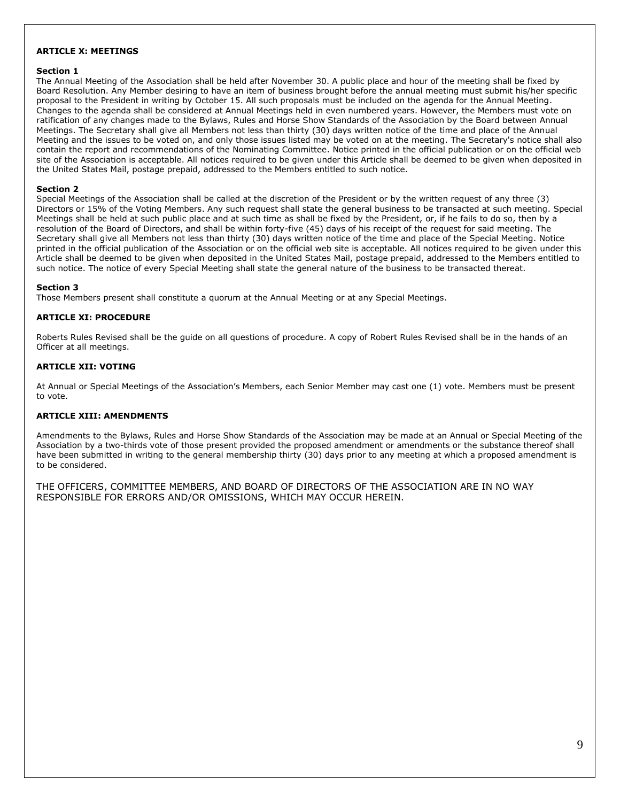# **ARTICLE X: MEETINGS**

# **Section 1**

The Annual Meeting of the Association shall be held after November 30. A public place and hour of the meeting shall be fixed by Board Resolution. Any Member desiring to have an item of business brought before the annual meeting must submit his/her specific proposal to the President in writing by October 15. All such proposals must be included on the agenda for the Annual Meeting. Changes to the agenda shall be considered at Annual Meetings held in even numbered years. However, the Members must vote on ratification of any changes made to the Bylaws, Rules and Horse Show Standards of the Association by the Board between Annual Meetings. The Secretary shall give all Members not less than thirty (30) days written notice of the time and place of the Annual Meeting and the issues to be voted on, and only those issues listed may be voted on at the meeting. The Secretary's notice shall also contain the report and recommendations of the Nominating Committee. Notice printed in the official publication or on the official web site of the Association is acceptable. All notices required to be given under this Article shall be deemed to be given when deposited in the United States Mail, postage prepaid, addressed to the Members entitled to such notice.

# **Section 2**

Special Meetings of the Association shall be called at the discretion of the President or by the written request of any three (3) Directors or 15% of the Voting Members. Any such request shall state the general business to be transacted at such meeting. Special Meetings shall be held at such public place and at such time as shall be fixed by the President, or, if he fails to do so, then by a resolution of the Board of Directors, and shall be within forty-five (45) days of his receipt of the request for said meeting. The Secretary shall give all Members not less than thirty (30) days written notice of the time and place of the Special Meeting. Notice printed in the official publication of the Association or on the official web site is acceptable. All notices required to be given under this Article shall be deemed to be given when deposited in the United States Mail, postage prepaid, addressed to the Members entitled to such notice. The notice of every Special Meeting shall state the general nature of the business to be transacted thereat.

# **Section 3**

Those Members present shall constitute a quorum at the Annual Meeting or at any Special Meetings.

# **ARTICLE XI: PROCEDURE**

Roberts Rules Revised shall be the guide on all questions of procedure. A copy of Robert Rules Revised shall be in the hands of an Officer at all meetings.

# **ARTICLE XII: VOTING**

At Annual or Special Meetings of the Association's Members, each Senior Member may cast one (1) vote. Members must be present to vote.

# **ARTICLE XIII: AMENDMENTS**

Amendments to the Bylaws, Rules and Horse Show Standards of the Association may be made at an Annual or Special Meeting of the Association by a two-thirds vote of those present provided the proposed amendment or amendments or the substance thereof shall have been submitted in writing to the general membership thirty (30) days prior to any meeting at which a proposed amendment is to be considered.

THE OFFICERS, COMMITTEE MEMBERS, AND BOARD OF DIRECTORS OF THE ASSOCIATION ARE IN NO WAY RESPONSIBLE FOR ERRORS AND/OR OMISSIONS, WHICH MAY OCCUR HEREIN.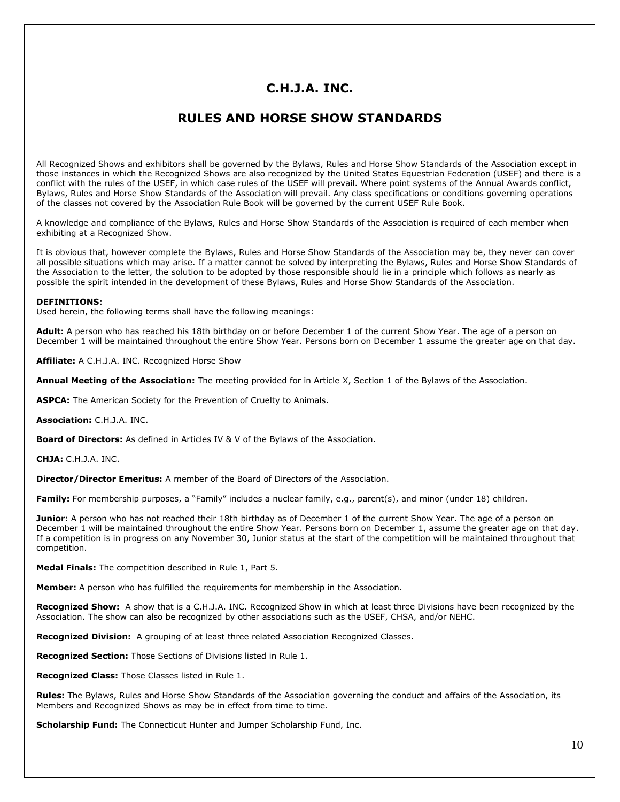# **C.H.J.A. INC.**

# **RULES AND HORSE SHOW STANDARDS**

All Recognized Shows and exhibitors shall be governed by the Bylaws, Rules and Horse Show Standards of the Association except in those instances in which the Recognized Shows are also recognized by the United States Equestrian Federation (USEF) and there is a conflict with the rules of the USEF, in which case rules of the USEF will prevail. Where point systems of the Annual Awards conflict, Bylaws, Rules and Horse Show Standards of the Association will prevail. Any class specifications or conditions governing operations of the classes not covered by the Association Rule Book will be governed by the current USEF Rule Book.

A knowledge and compliance of the Bylaws, Rules and Horse Show Standards of the Association is required of each member when exhibiting at a Recognized Show.

It is obvious that, however complete the Bylaws, Rules and Horse Show Standards of the Association may be, they never can cover all possible situations which may arise. If a matter cannot be solved by interpreting the Bylaws, Rules and Horse Show Standards of the Association to the letter, the solution to be adopted by those responsible should lie in a principle which follows as nearly as possible the spirit intended in the development of these Bylaws, Rules and Horse Show Standards of the Association.

#### **DEFINITIONS**:

Used herein, the following terms shall have the following meanings:

**Adult:** A person who has reached his 18th birthday on or before December 1 of the current Show Year. The age of a person on December 1 will be maintained throughout the entire Show Year. Persons born on December 1 assume the greater age on that day.

**Affiliate:** A C.H.J.A. INC. Recognized Horse Show

**Annual Meeting of the Association:** The meeting provided for in Article X, Section 1 of the Bylaws of the Association.

**ASPCA:** The American Society for the Prevention of Cruelty to Animals.

**Association:** C.H.J.A. INC.

**Board of Directors:** As defined in Articles IV & V of the Bylaws of the Association.

**CHJA:** C.H.J.A. INC.

**Director/Director Emeritus:** A member of the Board of Directors of the Association.

**Family:** For membership purposes, a "Family" includes a nuclear family, e.g., parent(s), and minor (under 18) children.

**Junior:** A person who has not reached their 18th birthday as of December 1 of the current Show Year. The age of a person on December 1 will be maintained throughout the entire Show Year. Persons born on December 1, assume the greater age on that day. If a competition is in progress on any November 30, Junior status at the start of the competition will be maintained throughout that competition.

**Medal Finals:** The competition described in Rule 1, Part 5.

**Member:** A person who has fulfilled the requirements for membership in the Association.

**Recognized Show:** A show that is a C.H.J.A. INC. Recognized Show in which at least three Divisions have been recognized by the Association. The show can also be recognized by other associations such as the USEF, CHSA, and/or NEHC.

**Recognized Division:** A grouping of at least three related Association Recognized Classes.

**Recognized Section:** Those Sections of Divisions listed in Rule 1.

**Recognized Class:** Those Classes listed in Rule 1.

**Rules:** The Bylaws, Rules and Horse Show Standards of the Association governing the conduct and affairs of the Association, its Members and Recognized Shows as may be in effect from time to time.

**Scholarship Fund:** The Connecticut Hunter and Jumper Scholarship Fund, Inc.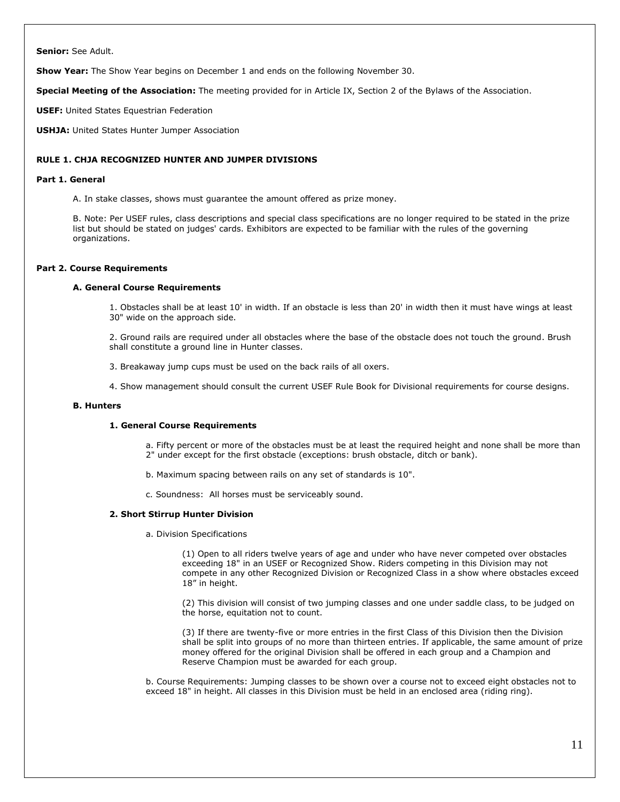**Senior:** See Adult.

**Show Year:** The Show Year begins on December 1 and ends on the following November 30.

**Special Meeting of the Association:** The meeting provided for in Article IX, Section 2 of the Bylaws of the Association.

**USEF:** United States Equestrian Federation

**USHJA:** United States Hunter Jumper Association

# **RULE 1. CHJA RECOGNIZED HUNTER AND JUMPER DIVISIONS**

#### **Part 1. General**

A. In stake classes, shows must guarantee the amount offered as prize money.

B. Note: Per USEF rules, class descriptions and special class specifications are no longer required to be stated in the prize list but should be stated on judges' cards. Exhibitors are expected to be familiar with the rules of the governing organizations.

# **Part 2. Course Requirements**

#### **A. General Course Requirements**

1. Obstacles shall be at least 10' in width. If an obstacle is less than 20' in width then it must have wings at least 30" wide on the approach side.

2. Ground rails are required under all obstacles where the base of the obstacle does not touch the ground. Brush shall constitute a ground line in Hunter classes.

3. Breakaway jump cups must be used on the back rails of all oxers.

4. Show management should consult the current USEF Rule Book for Divisional requirements for course designs.

#### **B. Hunters**

#### **1. General Course Requirements**

a. Fifty percent or more of the obstacles must be at least the required height and none shall be more than 2" under except for the first obstacle (exceptions: brush obstacle, ditch or bank).

- b. Maximum spacing between rails on any set of standards is 10".
- c. Soundness: All horses must be serviceably sound.

#### **2. Short Stirrup Hunter Division**

a. Division Specifications

(1) Open to all riders twelve years of age and under who have never competed over obstacles exceeding 18" in an USEF or Recognized Show. Riders competing in this Division may not compete in any other Recognized Division or Recognized Class in a show where obstacles exceed 18" in height.

(2) This division will consist of two jumping classes and one under saddle class, to be judged on the horse, equitation not to count.

(3) If there are twenty-five or more entries in the first Class of this Division then the Division shall be split into groups of no more than thirteen entries. If applicable, the same amount of prize money offered for the original Division shall be offered in each group and a Champion and Reserve Champion must be awarded for each group.

b. Course Requirements: Jumping classes to be shown over a course not to exceed eight obstacles not to exceed 18" in height. All classes in this Division must be held in an enclosed area (riding ring).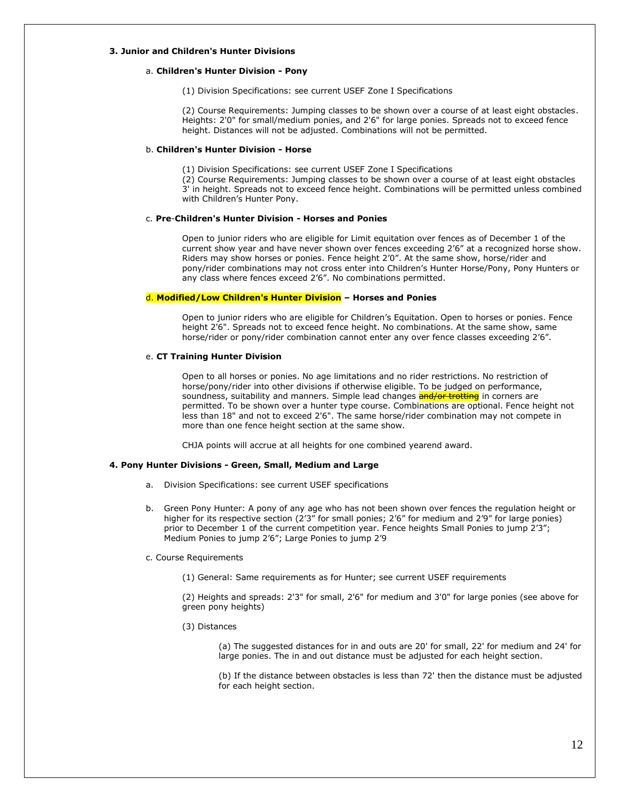#### **3. Junior and Children's Hunter Divisions**

# a. **Children's Hunter Division - Pony**

(1) Division Specifications: see current USEF Zone I Specifications

(2) Course Requirements: Jumping classes to be shown over a course of at least eight obstacles. Heights: 2'0" for small/medium ponies, and 2'6" for large ponies. Spreads not to exceed fence height. Distances will not be adjusted. Combinations will not be permitted.

# b. **Children's Hunter Division - Horse**

(1) Division Specifications: see current USEF Zone I Specifications

(2) Course Requirements: Jumping classes to be shown over a course of at least eight obstacles 3' in height. Spreads not to exceed fence height. Combinations will be permitted unless combined with Children's Hunter Pony.

#### c. **Pre**-**Children's Hunter Division - Horses and Ponies**

Open to junior riders who are eligible for Limit equitation over fences as of December 1 of the current show year and have never shown over fences exceeding 2'6" at a recognized horse show. Riders may show horses or ponies. Fence height 2'0". At the same show, horse/rider and pony/rider combinations may not cross enter into Children's Hunter Horse/Pony, Pony Hunters or any class where fences exceed 2'6". No combinations permitted.

#### d. **Modified/Low Children's Hunter Division – Horses and Ponies**

Open to junior riders who are eligible for Children's Equitation. Open to horses or ponies. Fence height 2'6". Spreads not to exceed fence height. No combinations. At the same show, same horse/rider or pony/rider combination cannot enter any over fence classes exceeding 2'6".

#### e. **CT Training Hunter Division**

Open to all horses or ponies. No age limitations and no rider restrictions. No restriction of horse/pony/rider into other divisions if otherwise eligible. To be judged on performance, soundness, suitability and manners. Simple lead changes **and/or trotting** in corners are permitted. To be shown over a hunter type course. Combinations are optional. Fence height not less than 18" and not to exceed 2'6". The same horse/rider combination may not compete in more than one fence height section at the same show.

CHJA points will accrue at all heights for one combined yearend award.

#### **4. Pony Hunter Divisions - Green, Small, Medium and Large**

- a. Division Specifications: see current USEF specifications
- b. Green Pony Hunter: A pony of any age who has not been shown over fences the regulation height or higher for its respective section (2'3" for small ponies; 2'6" for medium and 2'9" for large ponies) prior to December 1 of the current competition year. Fence heights Small Ponies to jump 2'3"; Medium Ponies to jump 2'6"; Large Ponies to jump 2'9

#### c. Course Requirements

(1) General: Same requirements as for Hunter; see current USEF requirements

(2) Heights and spreads: 2'3" for small, 2'6" for medium and 3'0" for large ponies (see above for green pony heights)

(3) Distances

(a) The suggested distances for in and outs are 20' for small, 22' for medium and 24' for large ponies. The in and out distance must be adjusted for each height section.

(b) If the distance between obstacles is less than 72' then the distance must be adjusted for each height section.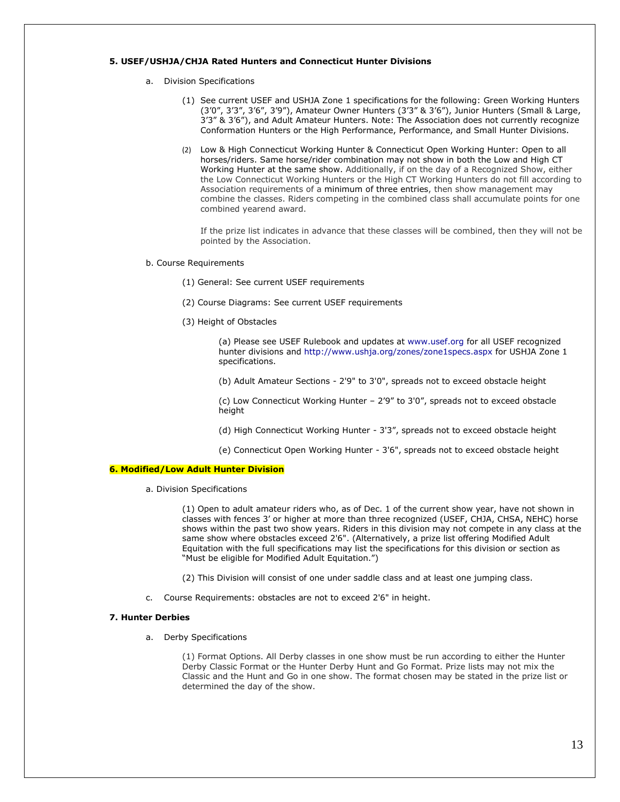#### **5. USEF/USHJA/CHJA Rated Hunters and Connecticut Hunter Divisions**

- a. Division Specifications
	- (1) See current USEF and USHJA Zone 1 specifications for the following: Green Working Hunters (3'0", 3'3", 3'6", 3'9"), Amateur Owner Hunters (3'3" & 3'6"), Junior Hunters (Small & Large, 3'3" & 3'6"), and Adult Amateur Hunters. Note: The Association does not currently recognize Conformation Hunters or the High Performance, Performance, and Small Hunter Divisions.
	- (2) Low & High Connecticut Working Hunter & Connecticut Open Working Hunter: Open to all horses/riders. Same horse/rider combination may not show in both the Low and High CT Working Hunter at the same show. Additionally, if on the day of a Recognized Show, either the Low Connecticut Working Hunters or the High CT Working Hunters do not fill according to Association requirements of a minimum of three entries, then show management may combine the classes. Riders competing in the combined class shall accumulate points for one combined yearend award.

If the prize list indicates in advance that these classes will be combined, then they will not be pointed by the Association.

- b. Course Requirements
	- (1) General: See current USEF requirements
	- (2) Course Diagrams: See current USEF requirements
	- (3) Height of Obstacles

(a) Please see USEF Rulebook and updates at [www.usef.org](http://www.usef.org/) for all USEF recognized hunter divisions and<http://www.ushja.org/zones/zone1specs.aspx> for USHJA Zone 1 specifications.

(b) Adult Amateur Sections - 2'9" to 3'0", spreads not to exceed obstacle height

(c) Low Connecticut Working Hunter – 2'9" to 3'0", spreads not to exceed obstacle height

- (d) High Connecticut Working Hunter 3'3", spreads not to exceed obstacle height
- (e) Connecticut Open Working Hunter 3'6", spreads not to exceed obstacle height

# **6. Modified/Low Adult Hunter Division**

a. Division Specifications

(1) Open to adult amateur riders who, as of Dec. 1 of the current show year, have not shown in classes with fences 3' or higher at more than three recognized (USEF, CHJA, CHSA, NEHC) horse shows within the past two show years. Riders in this division may not compete in any class at the same show where obstacles exceed 2'6". (Alternatively, a prize list offering Modified Adult Equitation with the full specifications may list the specifications for this division or section as "Must be eligible for Modified Adult Equitation.")

(2) This Division will consist of one under saddle class and at least one jumping class.

c. Course Requirements: obstacles are not to exceed 2'6" in height.

#### **7. Hunter Derbies**

a. Derby Specifications

(1) Format Options. All Derby classes in one show must be run according to either the Hunter Derby Classic Format or the Hunter Derby Hunt and Go Format. Prize lists may not mix the Classic and the Hunt and Go in one show. The format chosen may be stated in the prize list or determined the day of the show.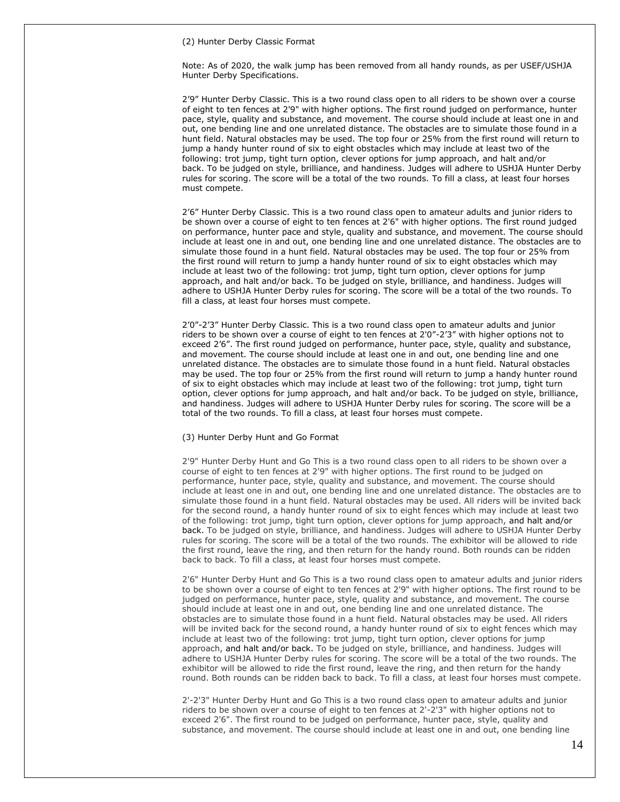(2) Hunter Derby Classic Format

Note: As of 2020, the walk jump has been removed from all handy rounds, as per USEF/USHJA Hunter Derby Specifications.

2'9" Hunter Derby Classic. This is a two round class open to all riders to be shown over a course of eight to ten fences at 2'9" with higher options. The first round judged on performance, hunter pace, style, quality and substance, and movement. The course should include at least one in and out, one bending line and one unrelated distance. The obstacles are to simulate those found in a hunt field. Natural obstacles may be used. The top four or 25% from the first round will return to jump a handy hunter round of six to eight obstacles which may include at least two of the following: trot jump, tight turn option, clever options for jump approach, and halt and/or back. To be judged on style, brilliance, and handiness. Judges will adhere to USHJA Hunter Derby rules for scoring. The score will be a total of the two rounds. To fill a class, at least four horses must compete.

2'6" Hunter Derby Classic. This is a two round class open to amateur adults and junior riders to be shown over a course of eight to ten fences at 2'6" with higher options. The first round judged on performance, hunter pace and style, quality and substance, and movement. The course should include at least one in and out, one bending line and one unrelated distance. The obstacles are to simulate those found in a hunt field. Natural obstacles may be used. The top four or 25% from the first round will return to jump a handy hunter round of six to eight obstacles which may include at least two of the following: trot jump, tight turn option, clever options for jump approach, and halt and/or back. To be judged on style, brilliance, and handiness. Judges will adhere to USHJA Hunter Derby rules for scoring. The score will be a total of the two rounds. To fill a class, at least four horses must compete.

2'0"-2'3" Hunter Derby Classic. This is a two round class open to amateur adults and junior riders to be shown over a course of eight to ten fences at 2'0"-2'3" with higher options not to exceed 2'6". The first round judged on performance, hunter pace, style, quality and substance, and movement. The course should include at least one in and out, one bending line and one unrelated distance. The obstacles are to simulate those found in a hunt field. Natural obstacles may be used. The top four or 25% from the first round will return to jump a handy hunter round of six to eight obstacles which may include at least two of the following: trot jump, tight turn option, clever options for jump approach, and halt and/or back. To be judged on style, brilliance, and handiness. Judges will adhere to USHJA Hunter Derby rules for scoring. The score will be a total of the two rounds. To fill a class, at least four horses must compete.

#### (3) Hunter Derby Hunt and Go Format

2'9" Hunter Derby Hunt and Go This is a two round class open to all riders to be shown over a course of eight to ten fences at 2'9" with higher options. The first round to be judged on performance, hunter pace, style, quality and substance, and movement. The course should include at least one in and out, one bending line and one unrelated distance. The obstacles are to simulate those found in a hunt field. Natural obstacles may be used. All riders will be invited back for the second round, a handy hunter round of six to eight fences which may include at least two of the following: trot jump, tight turn option, clever options for jump approach, and halt and/or back. To be judged on style, brilliance, and handiness. Judges will adhere to USHJA Hunter Derby rules for scoring. The score will be a total of the two rounds. The exhibitor will be allowed to ride the first round, leave the ring, and then return for the handy round. Both rounds can be ridden back to back. To fill a class, at least four horses must compete.

2'6" Hunter Derby Hunt and Go This is a two round class open to amateur adults and junior riders to be shown over a course of eight to ten fences at 2'9" with higher options. The first round to be judged on performance, hunter pace, style, quality and substance, and movement. The course should include at least one in and out, one bending line and one unrelated distance. The obstacles are to simulate those found in a hunt field. Natural obstacles may be used. All riders will be invited back for the second round, a handy hunter round of six to eight fences which may include at least two of the following: trot jump, tight turn option, clever options for jump approach, and halt and/or back. To be judged on style, brilliance, and handiness. Judges will adhere to USHJA Hunter Derby rules for scoring. The score will be a total of the two rounds. The exhibitor will be allowed to ride the first round, leave the ring, and then return for the handy round. Both rounds can be ridden back to back. To fill a class, at least four horses must compete.

2'-2'3" Hunter Derby Hunt and Go This is a two round class open to amateur adults and junior riders to be shown over a course of eight to ten fences at 2'-2'3" with higher options not to exceed 2'6". The first round to be judged on performance, hunter pace, style, quality and substance, and movement. The course should include at least one in and out, one bending line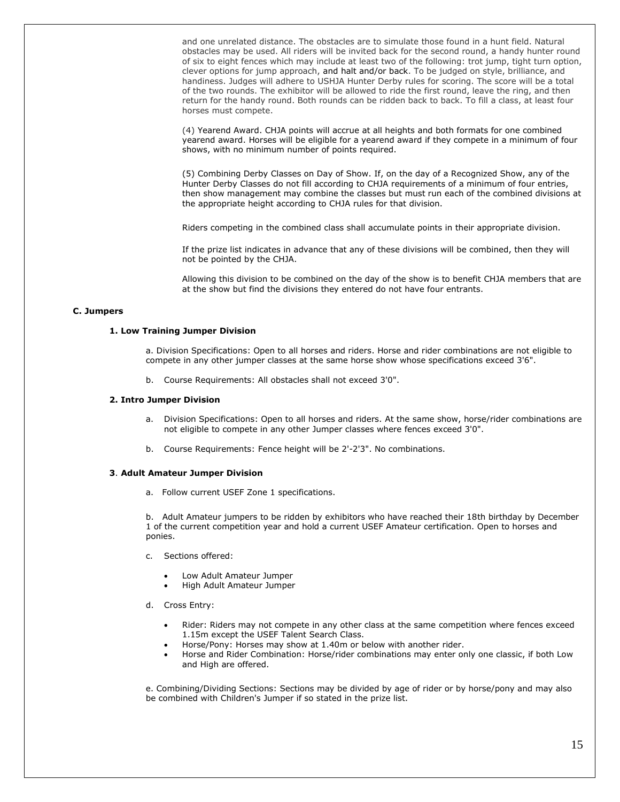and one unrelated distance. The obstacles are to simulate those found in a hunt field. Natural obstacles may be used. All riders will be invited back for the second round, a handy hunter round of six to eight fences which may include at least two of the following: trot jump, tight turn option, clever options for jump approach, and halt and/or back. To be judged on style, brilliance, and handiness. Judges will adhere to USHJA Hunter Derby rules for scoring. The score will be a total of the two rounds. The exhibitor will be allowed to ride the first round, leave the ring, and then return for the handy round. Both rounds can be ridden back to back. To fill a class, at least four horses must compete.

(4) Yearend Award. CHJA points will accrue at all heights and both formats for one combined yearend award. Horses will be eligible for a yearend award if they compete in a minimum of four shows, with no minimum number of points required.

(5) Combining Derby Classes on Day of Show. If, on the day of a Recognized Show, any of the Hunter Derby Classes do not fill according to CHJA requirements of a minimum of four entries, then show management may combine the classes but must run each of the combined divisions at the appropriate height according to CHJA rules for that division.

Riders competing in the combined class shall accumulate points in their appropriate division.

If the prize list indicates in advance that any of these divisions will be combined, then they will not be pointed by the CHJA.

Allowing this division to be combined on the day of the show is to benefit CHJA members that are at the show but find the divisions they entered do not have four entrants.

# **C. Jumpers**

#### **1. Low Training Jumper Division**

a. Division Specifications: Open to all horses and riders. Horse and rider combinations are not eligible to compete in any other jumper classes at the same horse show whose specifications exceed 3'6".

b. Course Requirements: All obstacles shall not exceed 3'0".

# **2. Intro Jumper Division**

- a. Division Specifications: Open to all horses and riders. At the same show, horse/rider combinations are not eligible to compete in any other Jumper classes where fences exceed 3'0".
- b. Course Requirements: Fence height will be 2'-2'3". No combinations.

# **3**. **Adult Amateur Jumper Division**

a. Follow current USEF Zone 1 specifications.

b. Adult Amateur jumpers to be ridden by exhibitors who have reached their 18th birthday by December 1 of the current competition year and hold a current USEF Amateur certification. Open to horses and ponies.

- c. Sections offered:
	- Low Adult Amateur Jumper
	- High Adult Amateur Jumper
- d. Cross Entry:
	- Rider: Riders may not compete in any other class at the same competition where fences exceed 1.15m except the USEF Talent Search Class.
		- Horse/Pony: Horses may show at 1.40m or below with another rider.
	- Horse and Rider Combination: Horse/rider combinations may enter only one classic, if both Low and High are offered.

e. Combining/Dividing Sections: Sections may be divided by age of rider or by horse/pony and may also be combined with Children's Jumper if so stated in the prize list.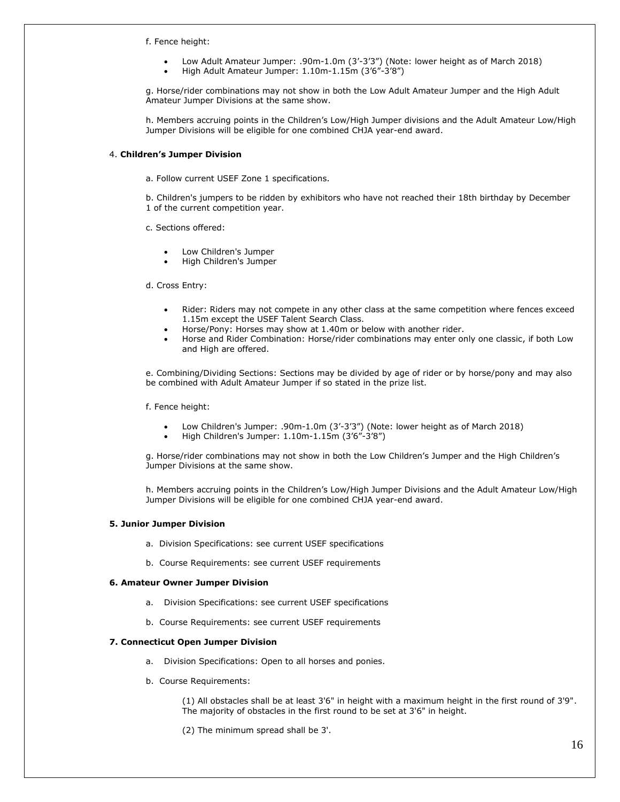f. Fence height:

- Low Adult Amateur Jumper: .90m-1.0m (3'-3'3") (Note: lower height as of March 2018)
- High Adult Amateur Jumper: 1.10m-1.15m (3'6"-3'8")

g. Horse/rider combinations may not show in both the Low Adult Amateur Jumper and the High Adult Amateur Jumper Divisions at the same show.

h. Members accruing points in the Children's Low/High Jumper divisions and the Adult Amateur Low/High Jumper Divisions will be eligible for one combined CHJA year-end award.

#### 4. **Children's Jumper Division**

a. Follow current USEF Zone 1 specifications.

b. Children's jumpers to be ridden by exhibitors who have not reached their 18th birthday by December 1 of the current competition year.

c. Sections offered:

- Low Children's Jumper
- High Children's Jumper

d. Cross Entry:

- Rider: Riders may not compete in any other class at the same competition where fences exceed 1.15m except the USEF Talent Search Class.
- Horse/Pony: Horses may show at 1.40m or below with another rider.
- Horse and Rider Combination: Horse/rider combinations may enter only one classic, if both Low and High are offered.

e. Combining/Dividing Sections: Sections may be divided by age of rider or by horse/pony and may also be combined with Adult Amateur Jumper if so stated in the prize list.

f. Fence height:

- Low Children's Jumper: .90m-1.0m (3'-3'3") (Note: lower height as of March 2018)
- High Children's Jumper: 1.10m-1.15m (3'6"-3'8")

g. Horse/rider combinations may not show in both the Low Children's Jumper and the High Children's Jumper Divisions at the same show.

h. Members accruing points in the Children's Low/High Jumper Divisions and the Adult Amateur Low/High Jumper Divisions will be eligible for one combined CHJA year-end award.

#### **5. Junior Jumper Division**

- a. Division Specifications: see current USEF specifications
- b. Course Requirements: see current USEF requirements

#### **6. Amateur Owner Jumper Division**

- a. Division Specifications: see current USEF specifications
- b. Course Requirements: see current USEF requirements

#### **7. Connecticut Open Jumper Division**

- a. Division Specifications: Open to all horses and ponies.
- b. Course Requirements:

(1) All obstacles shall be at least 3'6" in height with a maximum height in the first round of 3'9". The majority of obstacles in the first round to be set at 3'6" in height.

(2) The minimum spread shall be 3'.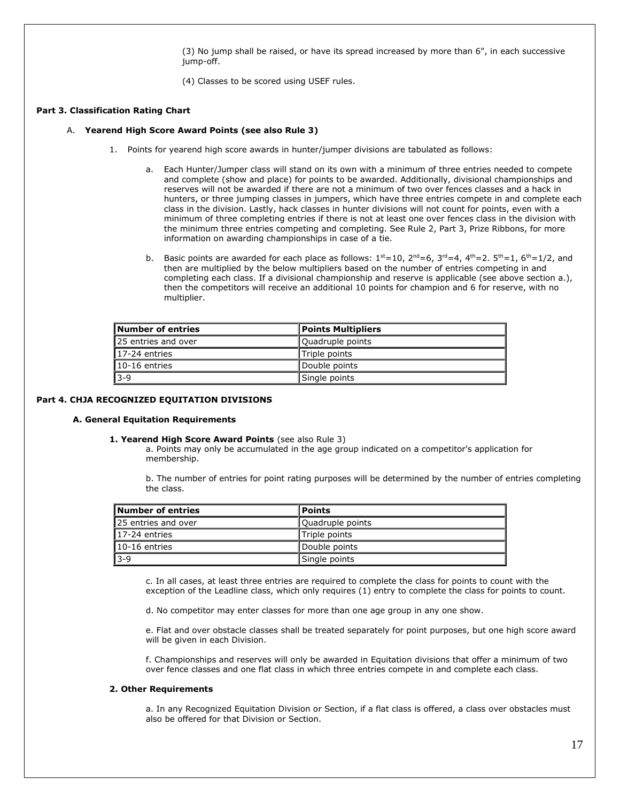(3) No jump shall be raised, or have its spread increased by more than 6", in each successive jump-off.

(4) Classes to be scored using USEF rules.

# **Part 3. Classification Rating Chart**

#### A. **Yearend High Score Award Points (see also Rule 3)**

- 1. Points for yearend high score awards in hunter/jumper divisions are tabulated as follows:
	- a. Each Hunter/Jumper class will stand on its own with a minimum of three entries needed to compete and complete (show and place) for points to be awarded. Additionally, divisional championships and reserves will not be awarded if there are not a minimum of two over fences classes and a hack in hunters, or three jumping classes in jumpers, which have three entries compete in and complete each class in the division. Lastly, hack classes in hunter divisions will not count for points, even with a minimum of three completing entries if there is not at least one over fences class in the division with the minimum three entries competing and completing. See Rule 2, Part 3, Prize Ribbons, for more information on awarding championships in case of a tie.
	- b. Basic points are awarded for each place as follows:  $1^{st}=10$ ,  $2^{nd}=6$ ,  $3^{rd}=4$ ,  $4^{th}=2$ .  $5^{th}=1$ ,  $6^{th}=1/2$ , and then are multiplied by the below multipliers based on the number of entries competing in and completing each class. If a divisional championship and reserve is applicable (see above section a.), then the competitors will receive an additional 10 points for champion and 6 for reserve, with no multiplier.

| Number of entries    | Points Multipliers |
|----------------------|--------------------|
| 125 entries and over | Quadruple points   |
| 117-24 entries       | Triple points      |
| 110-16 entries       | Double points      |
| $ 3-9 $              | Single points      |

# **Part 4. CHJA RECOGNIZED EQUITATION DIVISIONS**

#### **A. General Equitation Requirements**

# **1. Yearend High Score Award Points** (see also Rule 3)

a. Points may only be accumulated in the age group indicated on a competitor's application for membership.

b. The number of entries for point rating purposes will be determined by the number of entries completing the class.

| Number of entries    | <b>Points</b>    |
|----------------------|------------------|
| 125 entries and over | Quadruple points |
| $17-24$ entries      | Triple points    |
| $10-16$ entries      | Double points    |
| 13-9                 | Single points    |

c. In all cases, at least three entries are required to complete the class for points to count with the exception of the Leadline class, which only requires (1) entry to complete the class for points to count.

d. No competitor may enter classes for more than one age group in any one show.

e. Flat and over obstacle classes shall be treated separately for point purposes, but one high score award will be given in each Division.

f. Championships and reserves will only be awarded in Equitation divisions that offer a minimum of two over fence classes and one flat class in which three entries compete in and complete each class.

#### **2. Other Requirements**

a. In any Recognized Equitation Division or Section, if a flat class is offered, a class over obstacles must also be offered for that Division or Section.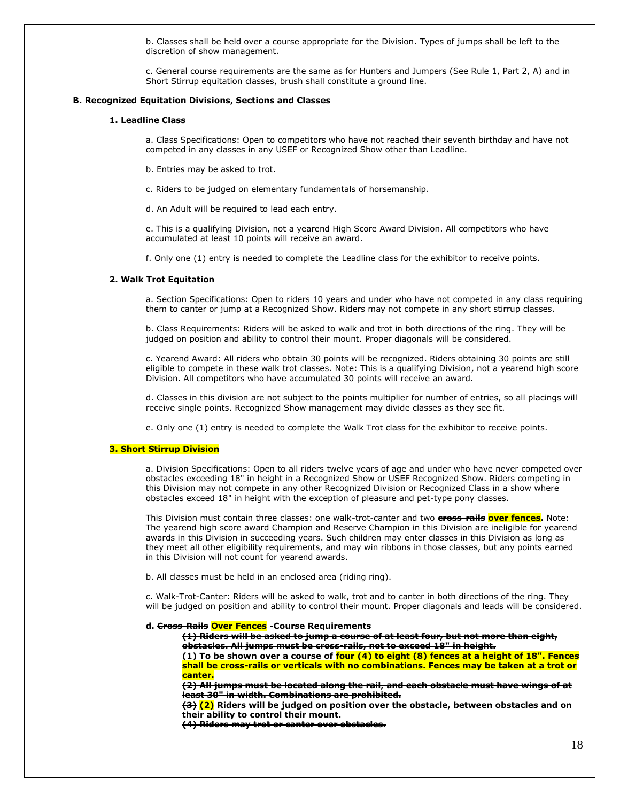b. Classes shall be held over a course appropriate for the Division. Types of jumps shall be left to the discretion of show management.

c. General course requirements are the same as for Hunters and Jumpers (See Rule 1, Part 2, A) and in Short Stirrup equitation classes, brush shall constitute a ground line.

#### **B. Recognized Equitation Divisions, Sections and Classes**

#### **1. Leadline Class**

a. Class Specifications: Open to competitors who have not reached their seventh birthday and have not competed in any classes in any USEF or Recognized Show other than Leadline.

- b. Entries may be asked to trot.
- c. Riders to be judged on elementary fundamentals of horsemanship.
- d. An Adult will be required to lead each entry.

e. This is a qualifying Division, not a yearend High Score Award Division. All competitors who have accumulated at least 10 points will receive an award.

f. Only one (1) entry is needed to complete the Leadline class for the exhibitor to receive points.

#### **2. Walk Trot Equitation**

a. Section Specifications: Open to riders 10 years and under who have not competed in any class requiring them to canter or jump at a Recognized Show. Riders may not compete in any short stirrup classes.

b. Class Requirements: Riders will be asked to walk and trot in both directions of the ring. They will be judged on position and ability to control their mount. Proper diagonals will be considered.

c. Yearend Award: All riders who obtain 30 points will be recognized. Riders obtaining 30 points are still eligible to compete in these walk trot classes. Note: This is a qualifying Division, not a yearend high score Division. All competitors who have accumulated 30 points will receive an award.

d. Classes in this division are not subject to the points multiplier for number of entries, so all placings will receive single points. Recognized Show management may divide classes as they see fit.

e. Only one (1) entry is needed to complete the Walk Trot class for the exhibitor to receive points.

#### **3. Short Stirrup Division**

a. Division Specifications: Open to all riders twelve years of age and under who have never competed over obstacles exceeding 18" in height in a Recognized Show or USEF Recognized Show. Riders competing in this Division may not compete in any other Recognized Division or Recognized Class in a show where obstacles exceed 18" in height with the exception of pleasure and pet-type pony classes.

This Division must contain three classes: one walk-trot-canter and two **cross-rails over fences.** Note: The yearend high score award Champion and Reserve Champion in this Division are ineligible for yearend awards in this Division in succeeding years. Such children may enter classes in this Division as long as they meet all other eligibility requirements, and may win ribbons in those classes, but any points earned in this Division will not count for yearend awards.

b. All classes must be held in an enclosed area (riding ring).

c. Walk-Trot-Canter: Riders will be asked to walk, trot and to canter in both directions of the ring. They will be judged on position and ability to control their mount. Proper diagonals and leads will be considered.

**d. Cross-Rails Over Fences -Course Requirements**

**(1) Riders will be asked to jump a course of at least four, but not more than eight, obstacles. All jumps must be cross-rails, not to exceed 18" in height.**

**(1) To be shown over a course of four (4) to eight (8) fences at a height of 18". Fences shall be cross-rails or verticals with no combinations. Fences may be taken at a trot or canter.**

**(2) All jumps must be located along the rail, and each obstacle must have wings of at least 30" in width. Combinations are prohibited.**

**(3) (2) Riders will be judged on position over the obstacle, between obstacles and on their ability to control their mount.**

**(4) Riders may trot or canter over obstacles.**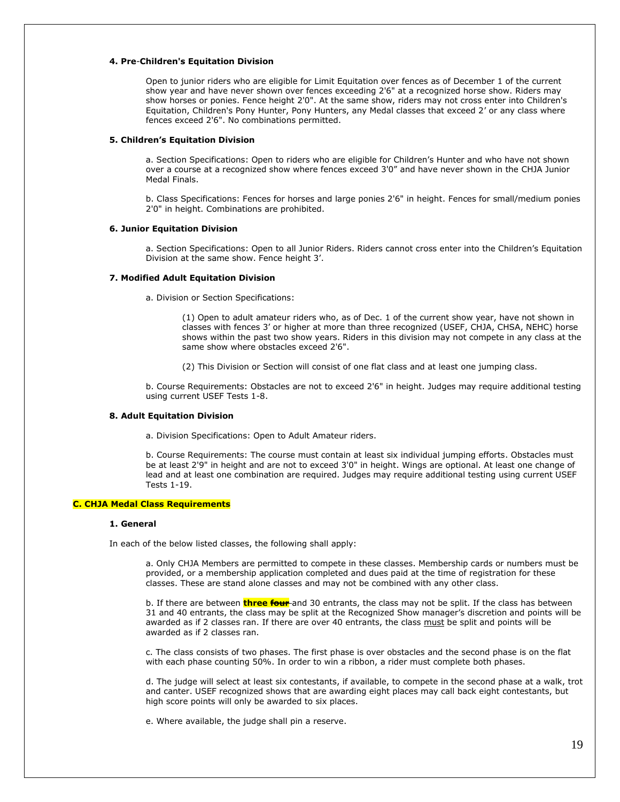# **4. Pre**-**Children's Equitation Division**

Open to junior riders who are eligible for Limit Equitation over fences as of December 1 of the current show year and have never shown over fences exceeding 2'6" at a recognized horse show. Riders may show horses or ponies. Fence height 2'0". At the same show, riders may not cross enter into Children's Equitation, Children's Pony Hunter, Pony Hunters, any Medal classes that exceed 2' or any class where fences exceed 2'6". No combinations permitted.

#### **5. Children's Equitation Division**

a. Section Specifications: Open to riders who are eligible for Children's Hunter and who have not shown over a course at a recognized show where fences exceed 3'0" and have never shown in the CHJA Junior Medal Finals.

b. Class Specifications: Fences for horses and large ponies 2'6" in height. Fences for small/medium ponies 2'0" in height. Combinations are prohibited.

#### **6. Junior Equitation Division**

a. Section Specifications: Open to all Junior Riders. Riders cannot cross enter into the Children's Equitation Division at the same show. Fence height 3'.

#### **7. Modified Adult Equitation Division**

a. Division or Section Specifications:

(1) Open to adult amateur riders who, as of Dec. 1 of the current show year, have not shown in classes with fences 3' or higher at more than three recognized (USEF, CHJA, CHSA, NEHC) horse shows within the past two show years. Riders in this division may not compete in any class at the same show where obstacles exceed 2'6".

(2) This Division or Section will consist of one flat class and at least one jumping class.

b. Course Requirements: Obstacles are not to exceed 2'6" in height. Judges may require additional testing using current USEF Tests 1-8.

#### **8. Adult Equitation Division**

a. Division Specifications: Open to Adult Amateur riders.

b. Course Requirements: The course must contain at least six individual jumping efforts. Obstacles must be at least 2'9" in height and are not to exceed 3'0" in height. Wings are optional. At least one change of lead and at least one combination are required. Judges may require additional testing using current USEF Tests 1-19.

# **C. CHJA Medal Class Requirements**

#### **1. General**

In each of the below listed classes, the following shall apply:

a. Only CHJA Members are permitted to compete in these classes. Membership cards or numbers must be provided, or a membership application completed and dues paid at the time of registration for these classes. These are stand alone classes and may not be combined with any other class.

b. If there are between **three four** and 30 entrants, the class may not be split. If the class has between 31 and 40 entrants, the class may be split at the Recognized Show manager's discretion and points will be awarded as if 2 classes ran. If there are over 40 entrants, the class must be split and points will be awarded as if 2 classes ran.

c. The class consists of two phases. The first phase is over obstacles and the second phase is on the flat with each phase counting 50%. In order to win a ribbon, a rider must complete both phases.

d. The judge will select at least six contestants, if available, to compete in the second phase at a walk, trot and canter. USEF recognized shows that are awarding eight places may call back eight contestants, but high score points will only be awarded to six places.

e. Where available, the judge shall pin a reserve.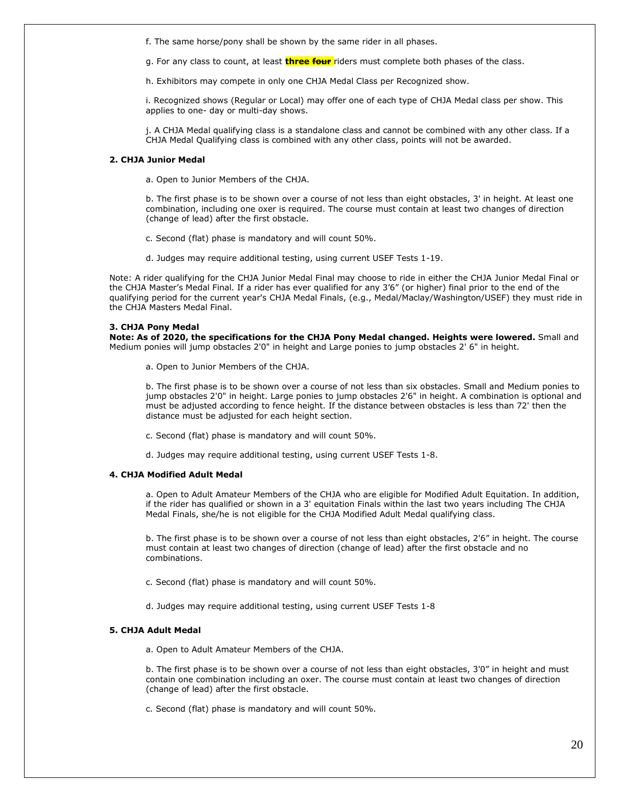f. The same horse/pony shall be shown by the same rider in all phases.

g. For any class to count, at least **three four** riders must complete both phases of the class.

h. Exhibitors may compete in only one CHJA Medal Class per Recognized show.

i. Recognized shows (Regular or Local) may offer one of each type of CHJA Medal class per show. This applies to one- day or multi-day shows.

j. A CHJA Medal qualifying class is a standalone class and cannot be combined with any other class. If a CHJA Medal Qualifying class is combined with any other class, points will not be awarded.

#### **2. CHJA Junior Medal**

a. Open to Junior Members of the CHJA.

b. The first phase is to be shown over a course of not less than eight obstacles, 3' in height. At least one combination, including one oxer is required. The course must contain at least two changes of direction (change of lead) after the first obstacle.

c. Second (flat) phase is mandatory and will count 50%.

d. Judges may require additional testing, using current USEF Tests 1-19.

Note: A rider qualifying for the CHJA Junior Medal Final may choose to ride in either the CHJA Junior Medal Final or the CHJA Master's Medal Final. If a rider has ever qualified for any 3'6" (or higher) final prior to the end of the qualifying period for the current year's CHJA Medal Finals, (e.g., Medal/Maclay/Washington/USEF) they must ride in the CHJA Masters Medal Final.

# **3. CHJA Pony Medal**

**Note: As of 2020, the specifications for the CHJA Pony Medal changed. Heights were lowered.** Small and Medium ponies will jump obstacles 2'0" in height and Large ponies to jump obstacles 2' 6" in height.

a. Open to Junior Members of the CHJA.

b. The first phase is to be shown over a course of not less than six obstacles. Small and Medium ponies to jump obstacles 2'0" in height. Large ponies to jump obstacles 2'6" in height. A combination is optional and must be adjusted according to fence height. If the distance between obstacles is less than 72' then the distance must be adjusted for each height section.

c. Second (flat) phase is mandatory and will count 50%.

d. Judges may require additional testing, using current USEF Tests 1-8.

# **4. CHJA Modified Adult Medal**

a. Open to Adult Amateur Members of the CHJA who are eligible for Modified Adult Equitation. In addition, if the rider has qualified or shown in a 3' equitation Finals within the last two years including The CHJA Medal Finals, she/he is not eligible for the CHJA Modified Adult Medal qualifying class.

b. The first phase is to be shown over a course of not less than eight obstacles, 2'6" in height. The course must contain at least two changes of direction (change of lead) after the first obstacle and no combinations.

c. Second (flat) phase is mandatory and will count 50%.

d. Judges may require additional testing, using current USEF Tests 1-8

#### **5. CHJA Adult Medal**

a. Open to Adult Amateur Members of the CHJA.

b. The first phase is to be shown over a course of not less than eight obstacles, 3'0" in height and must contain one combination including an oxer. The course must contain at least two changes of direction (change of lead) after the first obstacle.

c. Second (flat) phase is mandatory and will count 50%.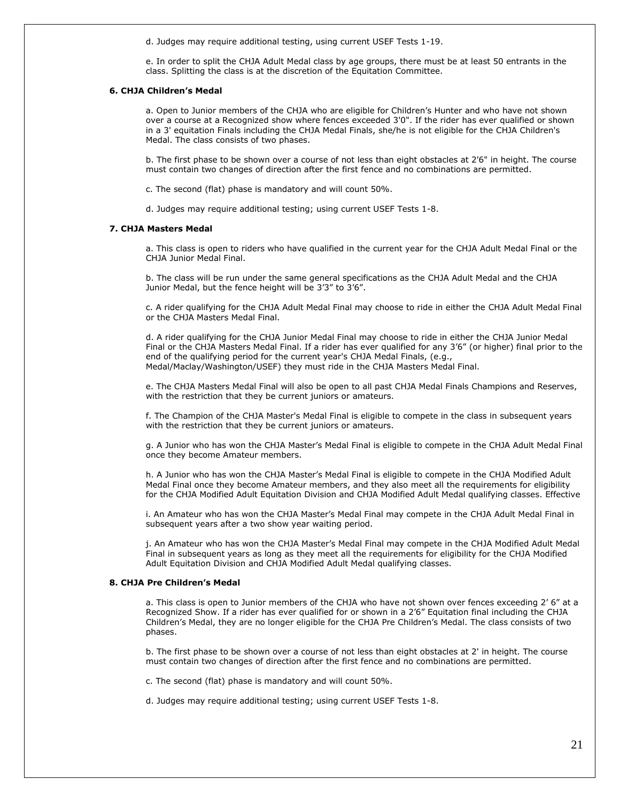d. Judges may require additional testing, using current USEF Tests 1-19.

e. In order to split the CHJA Adult Medal class by age groups, there must be at least 50 entrants in the class. Splitting the class is at the discretion of the Equitation Committee.

#### **6. CHJA Children's Medal**

a. Open to Junior members of the CHJA who are eligible for Children's Hunter and who have not shown over a course at a Recognized show where fences exceeded 3'0". If the rider has ever qualified or shown in a 3' equitation Finals including the CHJA Medal Finals, she/he is not eligible for the CHJA Children's Medal. The class consists of two phases.

b. The first phase to be shown over a course of not less than eight obstacles at 2'6" in height. The course must contain two changes of direction after the first fence and no combinations are permitted.

c. The second (flat) phase is mandatory and will count 50%.

d. Judges may require additional testing; using current USEF Tests 1-8.

#### **7. CHJA Masters Medal**

a. This class is open to riders who have qualified in the current year for the CHJA Adult Medal Final or the CHJA Junior Medal Final.

b. The class will be run under the same general specifications as the CHJA Adult Medal and the CHJA Junior Medal, but the fence height will be 3'3" to 3'6".

c. A rider qualifying for the CHJA Adult Medal Final may choose to ride in either the CHJA Adult Medal Final or the CHJA Masters Medal Final.

d. A rider qualifying for the CHJA Junior Medal Final may choose to ride in either the CHJA Junior Medal Final or the CHJA Masters Medal Final. If a rider has ever qualified for any 3'6" (or higher) final prior to the end of the qualifying period for the current year's CHJA Medal Finals, (e.g., Medal/Maclay/Washington/USEF) they must ride in the CHJA Masters Medal Final.

e. The CHJA Masters Medal Final will also be open to all past CHJA Medal Finals Champions and Reserves, with the restriction that they be current juniors or amateurs.

f. The Champion of the CHJA Master's Medal Final is eligible to compete in the class in subsequent years with the restriction that they be current juniors or amateurs.

g. A Junior who has won the CHJA Master's Medal Final is eligible to compete in the CHJA Adult Medal Final once they become Amateur members.

h. A Junior who has won the CHJA Master's Medal Final is eligible to compete in the CHJA Modified Adult Medal Final once they become Amateur members, and they also meet all the requirements for eligibility for the CHJA Modified Adult Equitation Division and CHJA Modified Adult Medal qualifying classes. Effective

i. An Amateur who has won the CHJA Master's Medal Final may compete in the CHJA Adult Medal Final in subsequent years after a two show year waiting period.

j. An Amateur who has won the CHJA Master's Medal Final may compete in the CHJA Modified Adult Medal Final in subsequent years as long as they meet all the requirements for eligibility for the CHJA Modified Adult Equitation Division and CHJA Modified Adult Medal qualifying classes.

#### **8. CHJA Pre Children's Medal**

a. This class is open to Junior members of the CHJA who have not shown over fences exceeding 2' 6" at a Recognized Show. If a rider has ever qualified for or shown in a 2'6" Equitation final including the CHJA Children's Medal, they are no longer eligible for the CHJA Pre Children's Medal. The class consists of two phases.

b. The first phase to be shown over a course of not less than eight obstacles at 2' in height. The course must contain two changes of direction after the first fence and no combinations are permitted.

c. The second (flat) phase is mandatory and will count 50%.

d. Judges may require additional testing; using current USEF Tests 1-8.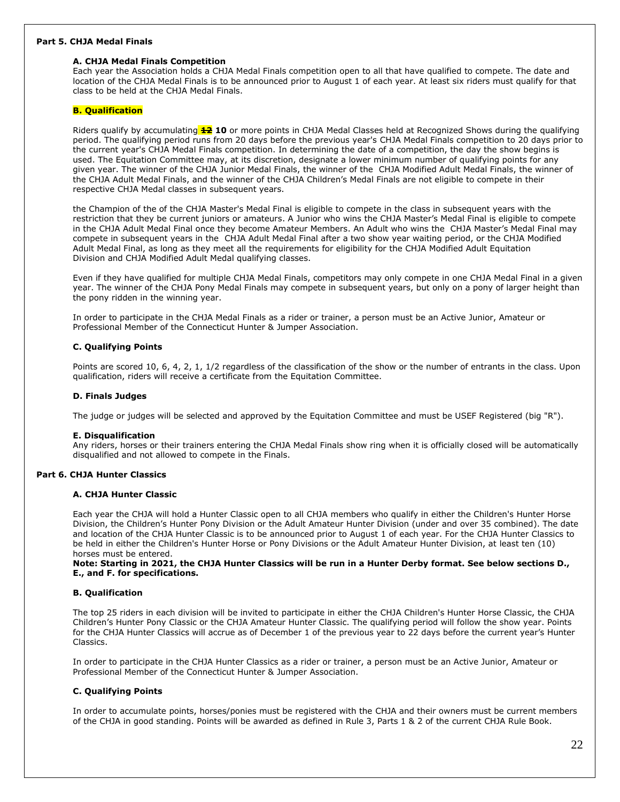#### **Part 5. CHJA Medal Finals**

# **A. CHJA Medal Finals Competition**

Each year the Association holds a CHJA Medal Finals competition open to all that have qualified to compete. The date and location of the CHJA Medal Finals is to be announced prior to August 1 of each year. At least six riders must qualify for that class to be held at the CHJA Medal Finals.

# **B. Qualification**

Riders qualify by accumulating **12 10** or more points in CHJA Medal Classes held at Recognized Shows during the qualifying period. The qualifying period runs from 20 days before the previous year's CHJA Medal Finals competition to 20 days prior to the current year's CHJA Medal Finals competition. In determining the date of a competition, the day the show begins is used. The Equitation Committee may, at its discretion, designate a lower minimum number of qualifying points for any given year. The winner of the CHJA Junior Medal Finals, the winner of the CHJA Modified Adult Medal Finals, the winner of the CHJA Adult Medal Finals, and the winner of the CHJA Children's Medal Finals are not eligible to compete in their respective CHJA Medal classes in subsequent years.

the Champion of the of the CHJA Master's Medal Final is eligible to compete in the class in subsequent years with the restriction that they be current juniors or amateurs. A Junior who wins the CHJA Master's Medal Final is eligible to compete in the CHJA Adult Medal Final once they become Amateur Members. An Adult who wins the CHJA Master's Medal Final may compete in subsequent years in the CHJA Adult Medal Final after a two show year waiting period, or the CHJA Modified Adult Medal Final, as long as they meet all the requirements for eligibility for the CHJA Modified Adult Equitation Division and CHJA Modified Adult Medal qualifying classes.

Even if they have qualified for multiple CHJA Medal Finals, competitors may only compete in one CHJA Medal Final in a given year. The winner of the CHJA Pony Medal Finals may compete in subsequent years, but only on a pony of larger height than the pony ridden in the winning year.

In order to participate in the CHJA Medal Finals as a rider or trainer, a person must be an Active Junior, Amateur or Professional Member of the Connecticut Hunter & Jumper Association.

#### **C. Qualifying Points**

Points are scored 10, 6, 4, 2, 1, 1/2 regardless of the classification of the show or the number of entrants in the class. Upon qualification, riders will receive a certificate from the Equitation Committee.

#### **D. Finals Judges**

The judge or judges will be selected and approved by the Equitation Committee and must be USEF Registered (big "R").

#### **E. Disqualification**

Any riders, horses or their trainers entering the CHJA Medal Finals show ring when it is officially closed will be automatically disqualified and not allowed to compete in the Finals.

# **Part 6. CHJA Hunter Classics**

#### **A. CHJA Hunter Classic**

Each year the CHJA will hold a Hunter Classic open to all CHJA members who qualify in either the Children's Hunter Horse Division, the Children's Hunter Pony Division or the Adult Amateur Hunter Division (under and over 35 combined). The date and location of the CHJA Hunter Classic is to be announced prior to August 1 of each year. For the CHJA Hunter Classics to be held in either the Children's Hunter Horse or Pony Divisions or the Adult Amateur Hunter Division, at least ten (10) horses must be entered.

**Note: Starting in 2021, the CHJA Hunter Classics will be run in a Hunter Derby format. See below sections D., E., and F. for specifications.**

#### **B. Qualification**

The top 25 riders in each division will be invited to participate in either the CHJA Children's Hunter Horse Classic, the CHJA Children's Hunter Pony Classic or the CHJA Amateur Hunter Classic. The qualifying period will follow the show year. Points for the CHJA Hunter Classics will accrue as of December 1 of the previous year to 22 days before the current year's Hunter Classics.

In order to participate in the CHJA Hunter Classics as a rider or trainer, a person must be an Active Junior, Amateur or Professional Member of the Connecticut Hunter & Jumper Association.

#### **C. Qualifying Points**

In order to accumulate points, horses/ponies must be registered with the CHJA and their owners must be current members of the CHJA in good standing. Points will be awarded as defined in Rule 3, Parts 1 & 2 of the current CHJA Rule Book.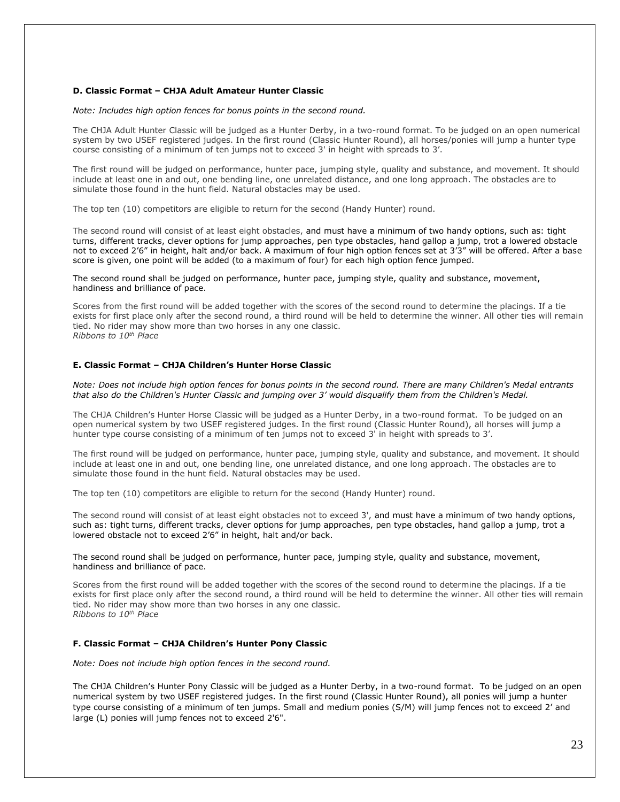#### **D. Classic Format – CHJA Adult Amateur Hunter Classic**

#### *Note: Includes high option fences for bonus points in the second round.*

The CHJA Adult Hunter Classic will be judged as a Hunter Derby, in a two-round format. To be judged on an open numerical system by two USEF registered judges. In the first round (Classic Hunter Round), all horses/ponies will jump a hunter type course consisting of a minimum of ten jumps not to exceed 3' in height with spreads to 3'.

The first round will be judged on performance, hunter pace, jumping style, quality and substance, and movement. It should include at least one in and out, one bending line, one unrelated distance, and one long approach. The obstacles are to simulate those found in the hunt field. Natural obstacles may be used.

The top ten (10) competitors are eligible to return for the second (Handy Hunter) round.

The second round will consist of at least eight obstacles, and must have a minimum of two handy options, such as: tight turns, different tracks, clever options for jump approaches, pen type obstacles, hand gallop a jump, trot a lowered obstacle not to exceed 2'6" in height, halt and/or back. A maximum of four high option fences set at 3'3" will be offered. After a base score is given, one point will be added (to a maximum of four) for each high option fence jumped.

The second round shall be judged on performance, hunter pace, jumping style, quality and substance, movement, handiness and brilliance of pace.

Scores from the first round will be added together with the scores of the second round to determine the placings. If a tie exists for first place only after the second round, a third round will be held to determine the winner. All other ties will remain tied. No rider may show more than two horses in any one classic. *Ribbons to 10th Place*

#### **E. Classic Format – CHJA Children's Hunter Horse Classic**

*Note: Does not include high option fences for bonus points in the second round. There are many Children's Medal entrants that also do the Children's Hunter Classic and jumping over 3' would disqualify them from the Children's Medal.*

The CHJA Children's Hunter Horse Classic will be judged as a Hunter Derby, in a two-round format. To be judged on an open numerical system by two USEF registered judges. In the first round (Classic Hunter Round), all horses will jump a hunter type course consisting of a minimum of ten jumps not to exceed 3' in height with spreads to 3'.

The first round will be judged on performance, hunter pace, jumping style, quality and substance, and movement. It should include at least one in and out, one bending line, one unrelated distance, and one long approach. The obstacles are to simulate those found in the hunt field. Natural obstacles may be used.

The top ten (10) competitors are eligible to return for the second (Handy Hunter) round.

The second round will consist of at least eight obstacles not to exceed 3', and must have a minimum of two handy options, such as: tight turns, different tracks, clever options for jump approaches, pen type obstacles, hand gallop a jump, trot a lowered obstacle not to exceed 2'6" in height, halt and/or back.

The second round shall be judged on performance, hunter pace, jumping style, quality and substance, movement, handiness and brilliance of pace.

Scores from the first round will be added together with the scores of the second round to determine the placings. If a tie exists for first place only after the second round, a third round will be held to determine the winner. All other ties will remain tied. No rider may show more than two horses in any one classic. *Ribbons to 10th Place*

#### **F. Classic Format – CHJA Children's Hunter Pony Classic**

*Note: Does not include high option fences in the second round.*

The CHJA Children's Hunter Pony Classic will be judged as a Hunter Derby, in a two-round format. To be judged on an open numerical system by two USEF registered judges. In the first round (Classic Hunter Round), all ponies will jump a hunter type course consisting of a minimum of ten jumps. Small and medium ponies (S/M) will jump fences not to exceed 2' and large (L) ponies will jump fences not to exceed 2'6".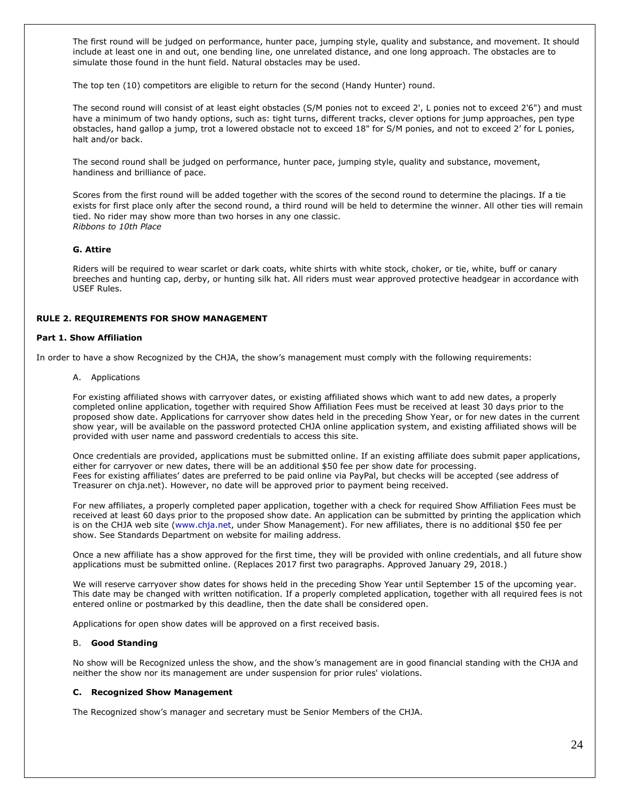The first round will be judged on performance, hunter pace, jumping style, quality and substance, and movement. It should include at least one in and out, one bending line, one unrelated distance, and one long approach. The obstacles are to simulate those found in the hunt field. Natural obstacles may be used.

The top ten (10) competitors are eligible to return for the second (Handy Hunter) round.

The second round will consist of at least eight obstacles (S/M ponies not to exceed 2', L ponies not to exceed 2'6") and must have a minimum of two handy options, such as: tight turns, different tracks, clever options for jump approaches, pen type obstacles, hand gallop a jump, trot a lowered obstacle not to exceed 18" for S/M ponies, and not to exceed 2' for L ponies, halt and/or back.

The second round shall be judged on performance, hunter pace, jumping style, quality and substance, movement, handiness and brilliance of pace.

Scores from the first round will be added together with the scores of the second round to determine the placings. If a tie exists for first place only after the second round, a third round will be held to determine the winner. All other ties will remain tied. No rider may show more than two horses in any one classic. *Ribbons to 10th Place*

# **G. Attire**

Riders will be required to wear scarlet or dark coats, white shirts with white stock, choker, or tie, white, buff or canary breeches and hunting cap, derby, or hunting silk hat. All riders must wear approved protective headgear in accordance with USEF Rules.

# **RULE 2. REQUIREMENTS FOR SHOW MANAGEMENT**

# **Part 1. Show Affiliation**

In order to have a show Recognized by the CHJA, the show's management must comply with the following requirements:

A. Applications

For existing affiliated shows with carryover dates, or existing affiliated shows which want to add new dates, a properly completed online application, together with required Show Affiliation Fees must be received at least 30 days prior to the proposed show date. Applications for carryover show dates held in the preceding Show Year, or for new dates in the current show year, will be available on the password protected CHJA online application system, and existing affiliated shows will be provided with user name and password credentials to access this site.

Once credentials are provided, applications must be submitted online. If an existing affiliate does submit paper applications, either for carryover or new dates, there will be an additional \$50 fee per show date for processing. Fees for existing affiliates' dates are preferred to be paid online via PayPal, but checks will be accepted (see address of Treasurer on chja.net). However, no date will be approved prior to payment being received.

For new affiliates, a properly completed paper application, together with a check for required Show Affiliation Fees must be received at least 60 days prior to the proposed show date. An application can be submitted by printing the application which is on the CHJA web site [\(www.chja.net,](http://www.chja.net/) under Show Management). For new affiliates, there is no additional \$50 fee per show. See Standards Department on website for mailing address.

Once a new affiliate has a show approved for the first time, they will be provided with online credentials, and all future show applications must be submitted online. (Replaces 2017 first two paragraphs. Approved January 29, 2018.)

We will reserve carryover show dates for shows held in the preceding Show Year until September 15 of the upcoming year. This date may be changed with written notification. If a properly completed application, together with all required fees is not entered online or postmarked by this deadline, then the date shall be considered open.

Applications for open show dates will be approved on a first received basis.

#### B. **Good Standing**

No show will be Recognized unless the show, and the show's management are in good financial standing with the CHJA and neither the show nor its management are under suspension for prior rules' violations.

#### **C. Recognized Show Management**

The Recognized show's manager and secretary must be Senior Members of the CHJA.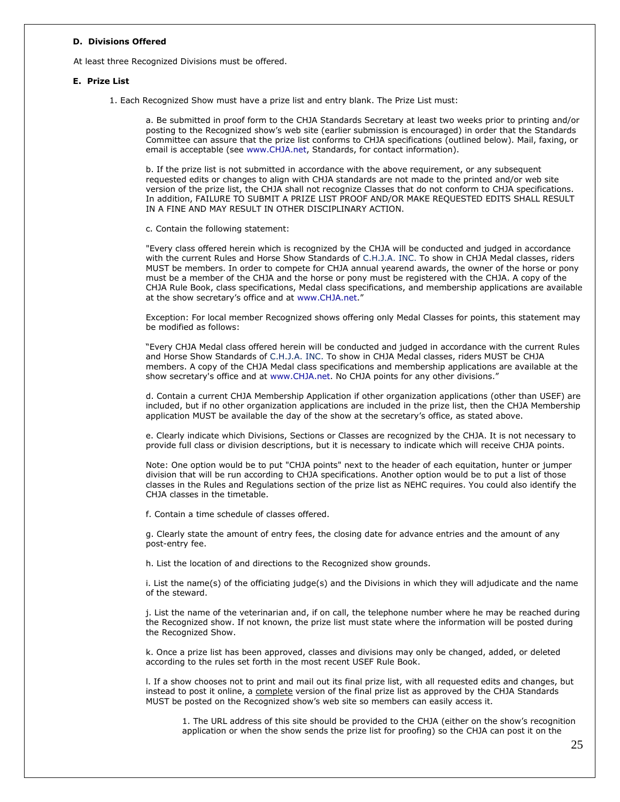#### **D. Divisions Offered**

At least three Recognized Divisions must be offered.

#### **E. Prize List**

1. Each Recognized Show must have a prize list and entry blank. The Prize List must:

a. Be submitted in proof form to the CHJA Standards Secretary at least two weeks prior to printing and/or posting to the Recognized show's web site (earlier submission is encouraged) in order that the Standards Committee can assure that the prize list conforms to CHJA specifications (outlined below). Mail, faxing, or email is acceptable (see [www.CHJA.net,](http://www.chja.net/) Standards, for contact information).

b. If the prize list is not submitted in accordance with the above requirement, or any subsequent requested edits or changes to align with CHJA standards are not made to the printed and/or web site version of the prize list, the CHJA shall not recognize Classes that do not conform to CHJA specifications. In addition, FAILURE TO SUBMIT A PRIZE LIST PROOF AND/OR MAKE REQUESTED EDITS SHALL RESULT IN A FINE AND MAY RESULT IN OTHER DISCIPLINARY ACTION.

c. Contain the following statement:

"Every class offered herein which is recognized by the CHJA will be conducted and judged in accordance with the current Rules and Horse Show Standards of C.H.J.A. INC. To show in CHJA Medal classes, riders MUST be members. In order to compete for CHJA annual yearend awards, the owner of the horse or pony must be a member of the CHJA and the horse or pony must be registered with the CHJA. A copy of the CHJA Rule Book, class specifications, Medal class specifications, and membership applications are available at the show secretary's office and at [www.CHJA.net](http://www.chja.net/)."

Exception: For local member Recognized shows offering only Medal Classes for points, this statement may be modified as follows:

"Every CHJA Medal class offered herein will be conducted and judged in accordance with the current Rules and Horse Show Standards of C.H.J.A. INC. To show in CHJA Medal classes, riders MUST be CHJA members. A copy of the CHJA Medal class specifications and membership applications are available at the show secretary's office and at [www.CHJA.net.](http://www.chja.net/) No CHJA points for any other divisions."

d. Contain a current CHJA Membership Application if other organization applications (other than USEF) are included, but if no other organization applications are included in the prize list, then the CHJA Membership application MUST be available the day of the show at the secretary's office, as stated above.

e. Clearly indicate which Divisions, Sections or Classes are recognized by the CHJA. It is not necessary to provide full class or division descriptions, but it is necessary to indicate which will receive CHJA points.

Note: One option would be to put "CHJA points" next to the header of each equitation, hunter or jumper division that will be run according to CHJA specifications. Another option would be to put a list of those classes in the Rules and Regulations section of the prize list as NEHC requires. You could also identify the CHJA classes in the timetable.

f. Contain a time schedule of classes offered.

g. Clearly state the amount of entry fees, the closing date for advance entries and the amount of any post-entry fee.

h. List the location of and directions to the Recognized show grounds.

i. List the name(s) of the officiating judge(s) and the Divisions in which they will adjudicate and the name of the steward.

j. List the name of the veterinarian and, if on call, the telephone number where he may be reached during the Recognized show. If not known, the prize list must state where the information will be posted during the Recognized Show.

k. Once a prize list has been approved, classes and divisions may only be changed, added, or deleted according to the rules set forth in the most recent USEF Rule Book.

l. If a show chooses not to print and mail out its final prize list, with all requested edits and changes, but instead to post it online, a complete version of the final prize list as approved by the CHJA Standards MUST be posted on the Recognized show's web site so members can easily access it.

1. The URL address of this site should be provided to the CHJA (either on the show's recognition application or when the show sends the prize list for proofing) so the CHJA can post it on the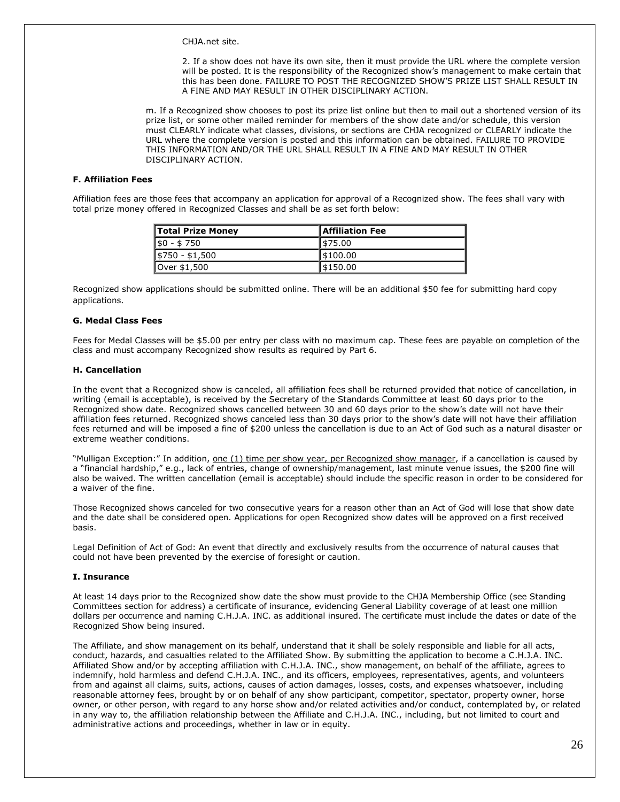CHJA.net site.

2. If a show does not have its own site, then it must provide the URL where the complete version will be posted. It is the responsibility of the Recognized show's management to make certain that this has been done. FAILURE TO POST THE RECOGNIZED SHOW'S PRIZE LIST SHALL RESULT IN A FINE AND MAY RESULT IN OTHER DISCIPLINARY ACTION.

m. If a Recognized show chooses to post its prize list online but then to mail out a shortened version of its prize list, or some other mailed reminder for members of the show date and/or schedule, this version must CLEARLY indicate what classes, divisions, or sections are CHJA recognized or CLEARLY indicate the URL where the complete version is posted and this information can be obtained. FAILURE TO PROVIDE THIS INFORMATION AND/OR THE URL SHALL RESULT IN A FINE AND MAY RESULT IN OTHER DISCIPLINARY ACTION.

# **F. Affiliation Fees**

Affiliation fees are those fees that accompany an application for approval of a Recognized show. The fees shall vary with total prize money offered in Recognized Classes and shall be as set forth below:

| Total Prize Money | <b>Affiliation Fee</b> |
|-------------------|------------------------|
| $$0 - $750$       | 575.00                 |
| $$750 - $1,500$   | 1\$100.00              |
| Over \$1,500      | 5150.00                |

Recognized show applications should be submitted online. There will be an additional \$50 fee for submitting hard copy applications.

#### **G. Medal Class Fees**

Fees for Medal Classes will be \$5.00 per entry per class with no maximum cap. These fees are payable on completion of the class and must accompany Recognized show results as required by Part 6.

# **H. Cancellation**

In the event that a Recognized show is canceled, all affiliation fees shall be returned provided that notice of cancellation, in writing (email is acceptable), is received by the Secretary of the Standards Committee at least 60 days prior to the Recognized show date. Recognized shows cancelled between 30 and 60 days prior to the show's date will not have their affiliation fees returned. Recognized shows canceled less than 30 days prior to the show's date will not have their affiliation fees returned and will be imposed a fine of \$200 unless the cancellation is due to an Act of God such as a natural disaster or extreme weather conditions.

"Mulligan Exception:" In addition, <u>one (1) time per show year, per Recognized show manager</u>, if a cancellation is caused by a "financial hardship," e.g., lack of entries, change of ownership/management, last minute venue issues, the \$200 fine will also be waived. The written cancellation (email is acceptable) should include the specific reason in order to be considered for a waiver of the fine.

Those Recognized shows canceled for two consecutive years for a reason other than an Act of God will lose that show date and the date shall be considered open. Applications for open Recognized show dates will be approved on a first received basis.

Legal Definition of Act of God: An event that directly and exclusively results from the occurrence of natural causes that could not have been prevented by the exercise of foresight or caution.

#### **I. Insurance**

At least 14 days prior to the Recognized show date the show must provide to the CHJA Membership Office (see Standing Committees section for address) a certificate of insurance, evidencing General Liability coverage of at least one million dollars per occurrence and naming C.H.J.A. INC. as additional insured. The certificate must include the dates or date of the Recognized Show being insured.

The Affiliate, and show management on its behalf, understand that it shall be solely responsible and liable for all acts, conduct, hazards, and casualties related to the Affiliated Show. By submitting the application to become a C.H.J.A. INC. Affiliated Show and/or by accepting affiliation with C.H.J.A. INC., show management, on behalf of the affiliate, agrees to indemnify, hold harmless and defend C.H.J.A. INC., and its officers, employees, representatives, agents, and volunteers from and against all claims, suits, actions, causes of action damages, losses, costs, and expenses whatsoever, including reasonable attorney fees, brought by or on behalf of any show participant, competitor, spectator, property owner, horse owner, or other person, with regard to any horse show and/or related activities and/or conduct, contemplated by, or related in any way to, the affiliation relationship between the Affiliate and C.H.J.A. INC., including, but not limited to court and administrative actions and proceedings, whether in law or in equity.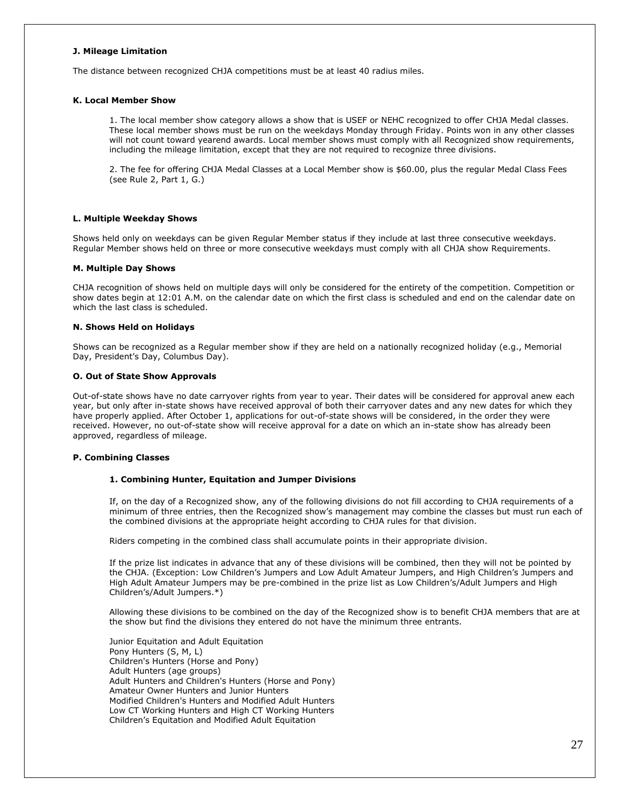#### **J. Mileage Limitation**

The distance between recognized CHJA competitions must be at least 40 radius miles.

#### **K. Local Member Show**

1. The local member show category allows a show that is USEF or NEHC recognized to offer CHJA Medal classes. These local member shows must be run on the weekdays Monday through Friday. Points won in any other classes will not count toward yearend awards. Local member shows must comply with all Recognized show requirements, including the mileage limitation, except that they are not required to recognize three divisions.

2. The fee for offering CHJA Medal Classes at a Local Member show is \$60.00, plus the regular Medal Class Fees (see Rule 2, Part 1, G.)

#### **L. Multiple Weekday Shows**

Shows held only on weekdays can be given Regular Member status if they include at last three consecutive weekdays. Regular Member shows held on three or more consecutive weekdays must comply with all CHJA show Requirements.

#### **M. Multiple Day Shows**

CHJA recognition of shows held on multiple days will only be considered for the entirety of the competition. Competition or show dates begin at 12:01 A.M. on the calendar date on which the first class is scheduled and end on the calendar date on which the last class is scheduled.

#### **N. Shows Held on Holidays**

Shows can be recognized as a Regular member show if they are held on a nationally recognized holiday (e.g., Memorial Day, President's Day, Columbus Day).

#### **O. Out of State Show Approvals**

Out-of-state shows have no date carryover rights from year to year. Their dates will be considered for approval anew each year, but only after in-state shows have received approval of both their carryover dates and any new dates for which they have properly applied. After October 1, applications for out-of-state shows will be considered, in the order they were received. However, no out-of-state show will receive approval for a date on which an in-state show has already been approved, regardless of mileage.

#### **P. Combining Classes**

#### **1. Combining Hunter, Equitation and Jumper Divisions**

If, on the day of a Recognized show, any of the following divisions do not fill according to CHJA requirements of a minimum of three entries, then the Recognized show's management may combine the classes but must run each of the combined divisions at the appropriate height according to CHJA rules for that division.

Riders competing in the combined class shall accumulate points in their appropriate division.

If the prize list indicates in advance that any of these divisions will be combined, then they will not be pointed by the CHJA. (Exception: Low Children's Jumpers and Low Adult Amateur Jumpers, and High Children's Jumpers and High Adult Amateur Jumpers may be pre-combined in the prize list as Low Children's/Adult Jumpers and High Children's/Adult Jumpers.\*)

Allowing these divisions to be combined on the day of the Recognized show is to benefit CHJA members that are at the show but find the divisions they entered do not have the minimum three entrants.

Junior Equitation and Adult Equitation Pony Hunters (S, M, L) Children's Hunters (Horse and Pony) Adult Hunters (age groups) Adult Hunters and Children's Hunters (Horse and Pony) Amateur Owner Hunters and Junior Hunters Modified Children's Hunters and Modified Adult Hunters Low CT Working Hunters and High CT Working Hunters Children's Equitation and Modified Adult Equitation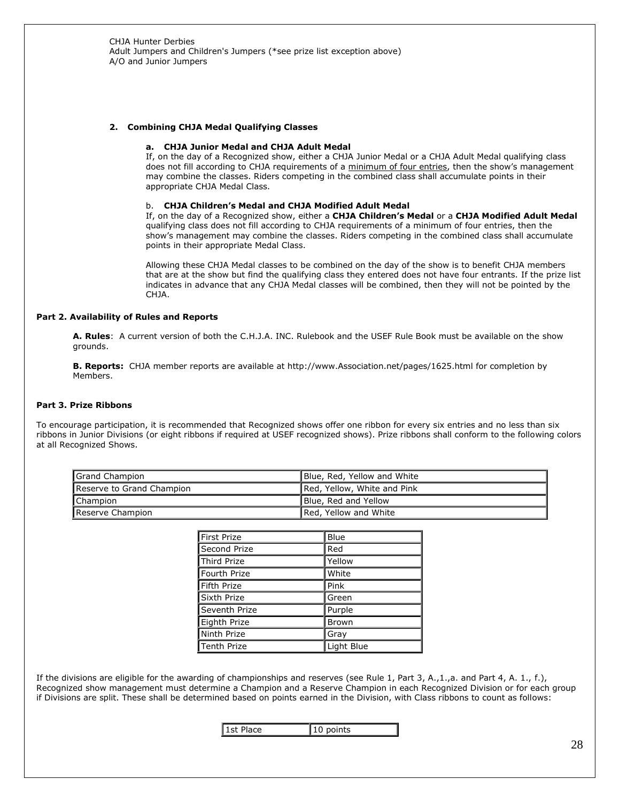#### **2. Combining CHJA Medal Qualifying Classes**

#### **a. CHJA Junior Medal and CHJA Adult Medal**

If, on the day of a Recognized show, either a CHJA Junior Medal or a CHJA Adult Medal qualifying class does not fill according to CHJA requirements of a minimum of four entries, then the show's management may combine the classes. Riders competing in the combined class shall accumulate points in their appropriate CHJA Medal Class.

#### b. **CHJA Children's Medal and CHJA Modified Adult Medal**

If, on the day of a Recognized show, either a **CHJA Children's Medal** or a **CHJA Modified Adult Medal** qualifying class does not fill according to CHJA requirements of a minimum of four entries, then the show's management may combine the classes. Riders competing in the combined class shall accumulate points in their appropriate Medal Class.

Allowing these CHJA Medal classes to be combined on the day of the show is to benefit CHJA members that are at the show but find the qualifying class they entered does not have four entrants. If the prize list indicates in advance that any CHJA Medal classes will be combined, then they will not be pointed by the CHJA.

# **Part 2. Availability of Rules and Reports**

**A. Rules**: A current version of both the C.H.J.A. INC. Rulebook and the USEF Rule Book must be available on the show grounds.

**B. Reports:** CHJA member reports are available at http://www.Association.net/pages/1625.html for completion by Members.

#### **Part 3. Prize Ribbons**

To encourage participation, it is recommended that Recognized shows offer one ribbon for every six entries and no less than six ribbons in Junior Divisions (or eight ribbons if required at USEF recognized shows). Prize ribbons shall conform to the following colors at all Recognized Shows.

| Grand Champion            | Blue, Red, Yellow and White |
|---------------------------|-----------------------------|
| Reserve to Grand Champion | Red, Yellow, White and Pink |
| <b>Champion</b>           | Blue, Red and Yellow        |
| Reserve Champion          | Red, Yellow and White       |

| First Prize   | <b>Blue</b> |
|---------------|-------------|
| Second Prize  | Red         |
| Third Prize   | Yellow      |
| Fourth Prize  | White       |
| Fifth Prize   | Pink        |
| Sixth Prize   | Green       |
| Seventh Prize | Purple      |
| Eighth Prize  | Brown       |
| Ninth Prize   | Gray        |
| Tenth Prize   | Light Blue  |

If the divisions are eligible for the awarding of championships and reserves (see Rule 1, Part 3, A.,1.,a. and Part 4, A. 1., f.), Recognized show management must determine a Champion and a Reserve Champion in each Recognized Division or for each group if Divisions are split. These shall be determined based on points earned in the Division, with Class ribbons to count as follows:

1st Place 10 points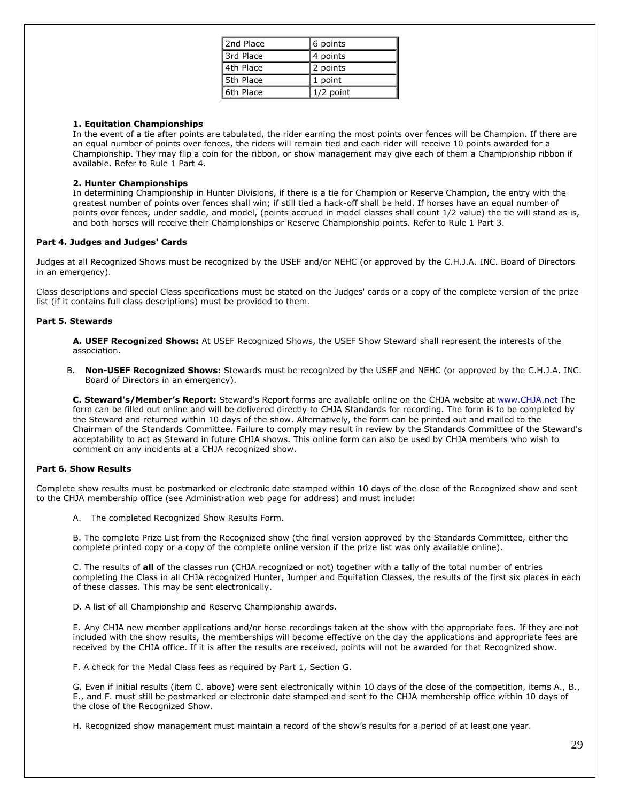| 2nd Place | 6 points    |
|-----------|-------------|
| 3rd Place | 4 points    |
| 4th Place | 2 points    |
| 5th Place | 1 point     |
| 6th Place | $1/2$ point |

# **1. Equitation Championships**

In the event of a tie after points are tabulated, the rider earning the most points over fences will be Champion. If there are an equal number of points over fences, the riders will remain tied and each rider will receive 10 points awarded for a Championship. They may flip a coin for the ribbon, or show management may give each of them a Championship ribbon if available. Refer to Rule 1 Part 4.

# **2. Hunter Championships**

In determining Championship in Hunter Divisions, if there is a tie for Champion or Reserve Champion, the entry with the greatest number of points over fences shall win; if still tied a hack-off shall be held. If horses have an equal number of points over fences, under saddle, and model, (points accrued in model classes shall count 1/2 value) the tie will stand as is, and both horses will receive their Championships or Reserve Championship points. Refer to Rule 1 Part 3.

# **Part 4. Judges and Judges' Cards**

Judges at all Recognized Shows must be recognized by the USEF and/or NEHC (or approved by the C.H.J.A. INC. Board of Directors in an emergency).

Class descriptions and special Class specifications must be stated on the Judges' cards or a copy of the complete version of the prize list (if it contains full class descriptions) must be provided to them.

#### **Part 5. Stewards**

**A. USEF Recognized Shows:** At USEF Recognized Shows, the USEF Show Steward shall represent the interests of the association.

B. **Non-USEF Recognized Shows:** Stewards must be recognized by the USEF and NEHC (or approved by the C.H.J.A. INC. Board of Directors in an emergency).

**C. Steward's/Member's Report:** Steward's Report forms are available online on the CHJA website at [www.CHJA.net](http://www.chja.net/) The form can be filled out online and will be delivered directly to CHJA Standards for recording. The form is to be completed by the Steward and returned within 10 days of the show. Alternatively, the form can be printed out and mailed to the Chairman of the Standards Committee. Failure to comply may result in review by the Standards Committee of the Steward's acceptability to act as Steward in future CHJA shows. This online form can also be used by CHJA members who wish to comment on any incidents at a CHJA recognized show.

# **Part 6. Show Results**

Complete show results must be postmarked or electronic date stamped within 10 days of the close of the Recognized show and sent to the CHJA membership office (see Administration web page for address) and must include:

A. The completed Recognized Show Results Form.

B. The complete Prize List from the Recognized show (the final version approved by the Standards Committee, either the complete printed copy or a copy of the complete online version if the prize list was only available online).

C. The results of **all** of the classes run (CHJA recognized or not) together with a tally of the total number of entries completing the Class in all CHJA recognized Hunter, Jumper and Equitation Classes, the results of the first six places in each of these classes. This may be sent electronically.

D. A list of all Championship and Reserve Championship awards.

E. Any CHJA new member applications and/or horse recordings taken at the show with the appropriate fees. If they are not included with the show results, the memberships will become effective on the day the applications and appropriate fees are received by the CHJA office. If it is after the results are received, points will not be awarded for that Recognized show.

F. A check for the Medal Class fees as required by Part 1, Section G.

G. Even if initial results (item C. above) were sent electronically within 10 days of the close of the competition, items A., B., E., and F. must still be postmarked or electronic date stamped and sent to the CHJA membership office within 10 days of the close of the Recognized Show.

H. Recognized show management must maintain a record of the show's results for a period of at least one year.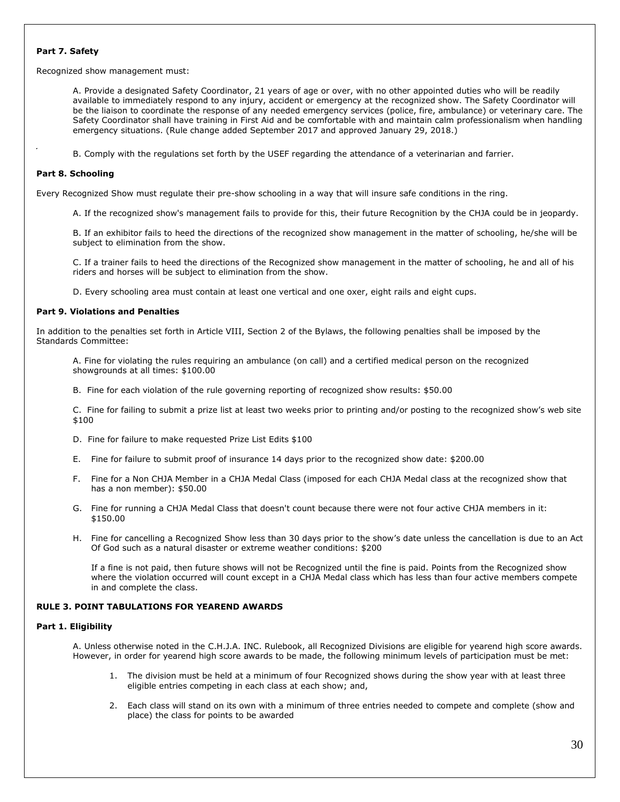# **Part 7. Safety**

Recognized show management must:

A. Provide a designated Safety Coordinator, 21 years of age or over, with no other appointed duties who will be readily available to immediately respond to any injury, accident or emergency at the recognized show. The Safety Coordinator will be the liaison to coordinate the response of any needed emergency services (police, fire, ambulance) or veterinary care. The Safety Coordinator shall have training in First Aid and be comfortable with and maintain calm professionalism when handling emergency situations. (Rule change added September 2017 and approved January 29, 2018.)

B. Comply with the regulations set forth by the USEF regarding the attendance of a veterinarian and farrier.

# **Part 8. Schooling**

Every Recognized Show must regulate their pre-show schooling in a way that will insure safe conditions in the ring.

A. If the recognized show's management fails to provide for this, their future Recognition by the CHJA could be in jeopardy.

B. If an exhibitor fails to heed the directions of the recognized show management in the matter of schooling, he/she will be subject to elimination from the show.

C. If a trainer fails to heed the directions of the Recognized show management in the matter of schooling, he and all of his riders and horses will be subject to elimination from the show.

D. Every schooling area must contain at least one vertical and one oxer, eight rails and eight cups.

# **Part 9. Violations and Penalties**

In addition to the penalties set forth in Article VIII, Section 2 of the Bylaws, the following penalties shall be imposed by the Standards Committee:

A. Fine for violating the rules requiring an ambulance (on call) and a certified medical person on the recognized showgrounds at all times: \$100.00

B. Fine for each violation of the rule governing reporting of recognized show results: \$50.00

C. Fine for failing to submit a prize list at least two weeks prior to printing and/or posting to the recognized show's web site \$100

- D. Fine for failure to make requested Prize List Edits \$100
- E. Fine for failure to submit proof of insurance 14 days prior to the recognized show date: \$200.00
- F. Fine for a Non CHJA Member in a CHJA Medal Class (imposed for each CHJA Medal class at the recognized show that has a non member): \$50.00
- G. Fine for running a CHJA Medal Class that doesn't count because there were not four active CHJA members in it: \$150.00
- H. Fine for cancelling a Recognized Show less than 30 days prior to the show's date unless the cancellation is due to an Act Of God such as a natural disaster or extreme weather conditions: \$200

If a fine is not paid, then future shows will not be Recognized until the fine is paid. Points from the Recognized show where the violation occurred will count except in a CHJA Medal class which has less than four active members compete in and complete the class.

# **RULE 3. POINT TABULATIONS FOR YEAREND AWARDS**

# **Part 1. Eligibility**

A. Unless otherwise noted in the C.H.J.A. INC. Rulebook, all Recognized Divisions are eligible for yearend high score awards. However, in order for yearend high score awards to be made, the following minimum levels of participation must be met:

- 1. The division must be held at a minimum of four Recognized shows during the show year with at least three eligible entries competing in each class at each show; and,
- 2. Each class will stand on its own with a minimum of three entries needed to compete and complete (show and place) the class for points to be awarded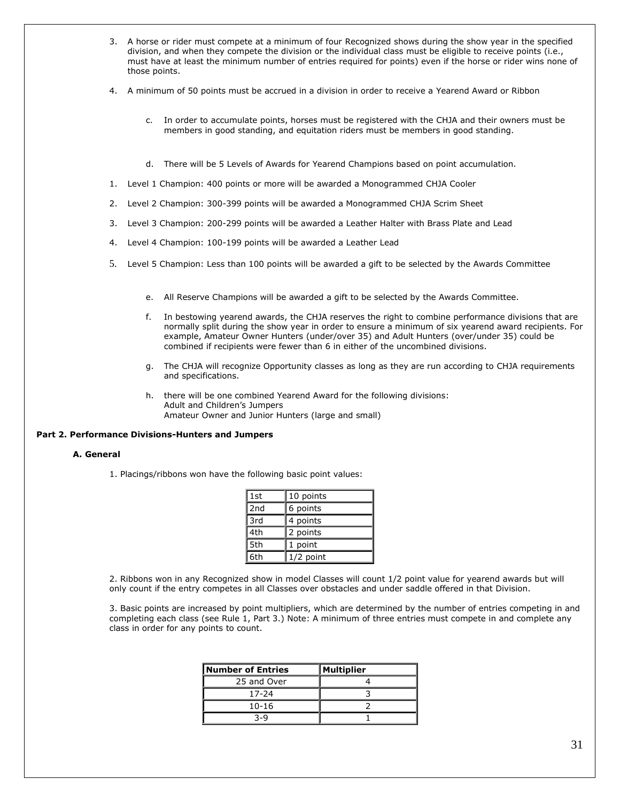- 3. A horse or rider must compete at a minimum of four Recognized shows during the show year in the specified division, and when they compete the division or the individual class must be eligible to receive points (i.e., must have at least the minimum number of entries required for points) even if the horse or rider wins none of those points.
- 4. A minimum of 50 points must be accrued in a division in order to receive a Yearend Award or Ribbon
	- c. In order to accumulate points, horses must be registered with the CHJA and their owners must be members in good standing, and equitation riders must be members in good standing.
	- d. There will be 5 Levels of Awards for Yearend Champions based on point accumulation.
- 1. Level 1 Champion: 400 points or more will be awarded a Monogrammed CHJA Cooler
- 2. Level 2 Champion: 300-399 points will be awarded a Monogrammed CHJA Scrim Sheet
- 3. Level 3 Champion: 200-299 points will be awarded a Leather Halter with Brass Plate and Lead
- 4. Level 4 Champion: 100-199 points will be awarded a Leather Lead
- 5. Level 5 Champion: Less than 100 points will be awarded a gift to be selected by the Awards Committee
	- e. All Reserve Champions will be awarded a gift to be selected by the Awards Committee.
	- f. In bestowing yearend awards, the CHJA reserves the right to combine performance divisions that are normally split during the show year in order to ensure a minimum of six yearend award recipients. For example, Amateur Owner Hunters (under/over 35) and Adult Hunters (over/under 35) could be combined if recipients were fewer than 6 in either of the uncombined divisions.
	- g. The CHJA will recognize Opportunity classes as long as they are run according to CHJA requirements and specifications.
	- h. there will be one combined Yearend Award for the following divisions: Adult and Children's Jumpers Amateur Owner and Junior Hunters (large and small)

# **Part 2. Performance Divisions-Hunters and Jumpers**

#### **A. General**

1. Placings/ribbons won have the following basic point values:

| 1st             | 10 points   |  |
|-----------------|-------------|--|
| 2 <sub>nd</sub> | 6 points    |  |
| 3rd             | 4 points    |  |
| 4th             | 2 points    |  |
| 5th             | 1 point     |  |
| 6th             | $1/2$ point |  |

2. Ribbons won in any Recognized show in model Classes will count 1/2 point value for yearend awards but will only count if the entry competes in all Classes over obstacles and under saddle offered in that Division.

3. Basic points are increased by point multipliers, which are determined by the number of entries competing in and completing each class (see Rule 1, Part 3.) Note: A minimum of three entries must compete in and complete any class in order for any points to count.

| Number of Entries | Multiplier |
|-------------------|------------|
| 25 and Over       |            |
| 17-24             |            |
| $10 - 16$         |            |
| 3-9               |            |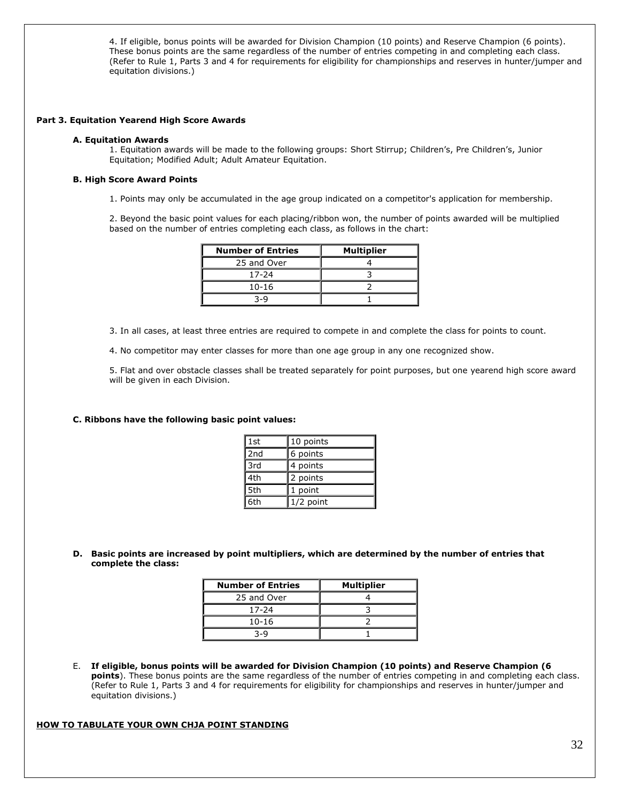4. If eligible, bonus points will be awarded for Division Champion (10 points) and Reserve Champion (6 points). These bonus points are the same regardless of the number of entries competing in and completing each class. (Refer to Rule 1, Parts 3 and 4 for requirements for eligibility for championships and reserves in hunter/jumper and equitation divisions.)

#### **Part 3. Equitation Yearend High Score Awards**

#### **A. Equitation Awards**

1. Equitation awards will be made to the following groups: Short Stirrup; Children's, Pre Children's, Junior Equitation; Modified Adult; Adult Amateur Equitation.

# **B. High Score Award Points**

1. Points may only be accumulated in the age group indicated on a competitor's application for membership.

2. Beyond the basic point values for each placing/ribbon won, the number of points awarded will be multiplied based on the number of entries completing each class, as follows in the chart:

| <b>Number of Entries</b> | <b>Multiplier</b> |
|--------------------------|-------------------|
| 25 and Over              |                   |
| 17-24                    |                   |
| $10 - 16$                |                   |
| 3-Q                      |                   |

3. In all cases, at least three entries are required to compete in and complete the class for points to count.

4. No competitor may enter classes for more than one age group in any one recognized show.

5. Flat and over obstacle classes shall be treated separately for point purposes, but one yearend high score award will be given in each Division.

#### **C. Ribbons have the following basic point values:**

| l 1st | 10 points   |  |
|-------|-------------|--|
| 2nd   | 6 points    |  |
| 3rd   | 4 points    |  |
| 4th   | 2 points    |  |
| 5th   | 1 point     |  |
| l 6th | $1/2$ point |  |

**D. Basic points are increased by point multipliers, which are determined by the number of entries that complete the class:**

| <b>Number of Entries</b> | <b>Multiplier</b> |
|--------------------------|-------------------|
| 25 and Over              |                   |
| 17-24                    |                   |
| $10 - 16$                |                   |
| 3-Q                      |                   |

E. **If eligible, bonus points will be awarded for Division Champion (10 points) and Reserve Champion (6 points**). These bonus points are the same regardless of the number of entries competing in and completing each class. (Refer to Rule 1, Parts 3 and 4 for requirements for eligibility for championships and reserves in hunter/jumper and equitation divisions.)

# **HOW TO TABULATE YOUR OWN CHJA POINT STANDING**